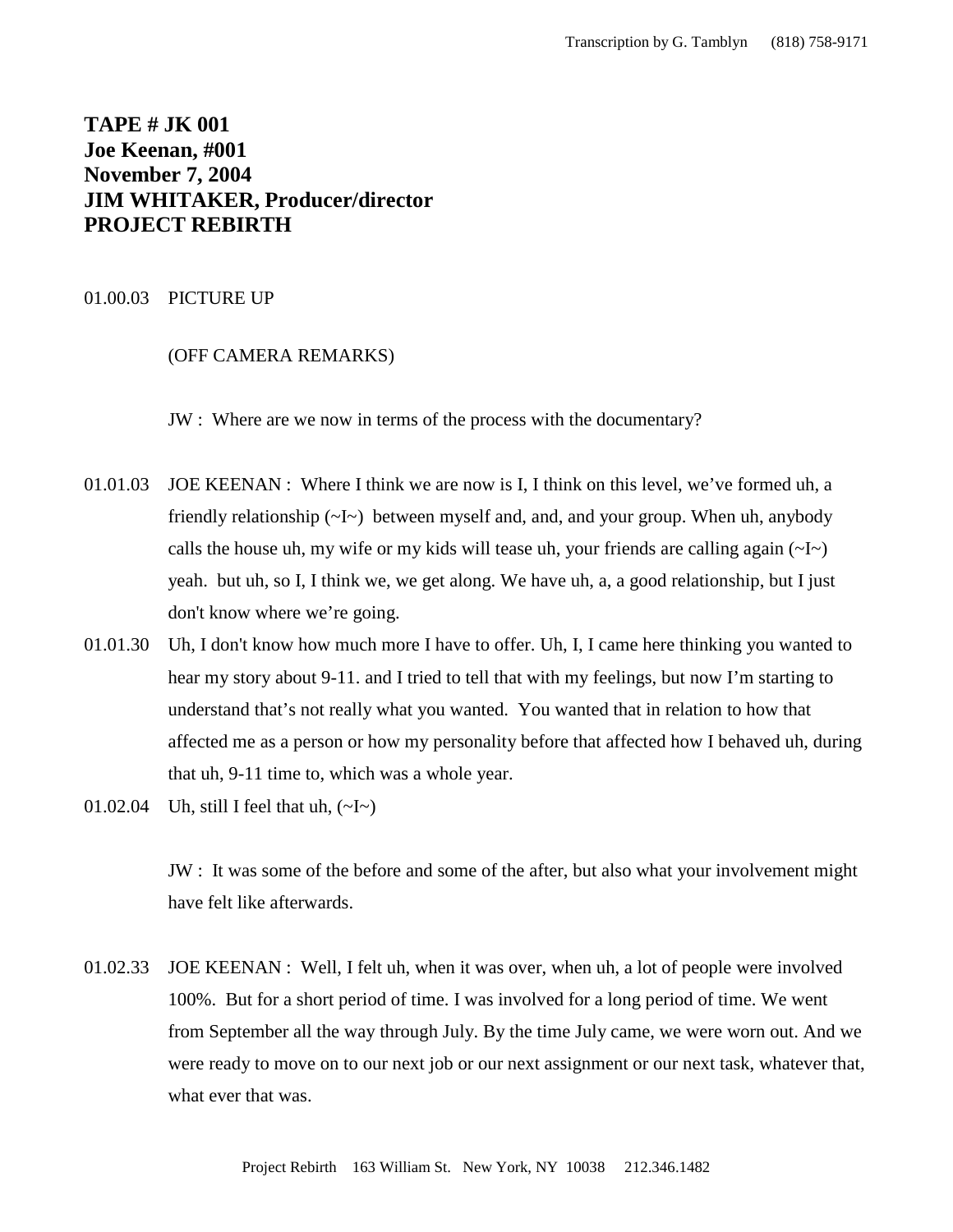# **TAPE # JK 001 Joe Keenan, #001 November 7, 2004 JIM WHITAKER, Producer/director PROJECT REBIRTH**

# 01.00.03 PICTURE UP

#### (OFF CAMERA REMARKS)

JW : Where are we now in terms of the process with the documentary?

- 01.01.03 JOE KEENAN : Where I think we are now is I, I think on this level, we've formed uh, a friendly relationship  $(\sim I \sim)$  between myself and, and, and your group. When uh, anybody calls the house uh, my wife or my kids will tease uh, your friends are calling again  $(\sim I \sim)$ yeah. but uh, so I, I think we, we get along. We have uh, a, a good relationship, but I just don't know where we're going.
- 01.01.30 Uh, I don't know how much more I have to offer. Uh, I, I came here thinking you wanted to hear my story about 9-11. and I tried to tell that with my feelings, but now I'm starting to understand that's not really what you wanted. You wanted that in relation to how that affected me as a person or how my personality before that affected how I behaved uh, during that uh, 9-11 time to, which was a whole year.
- 01.02.04 Uh, still I feel that uh,  $(\sim I \sim)$

JW : It was some of the before and some of the after, but also what your involvement might have felt like afterwards.

01.02.33 JOE KEENAN : Well, I felt uh, when it was over, when uh, a lot of people were involved 100%. But for a short period of time. I was involved for a long period of time. We went from September all the way through July. By the time July came, we were worn out. And we were ready to move on to our next job or our next assignment or our next task, whatever that, what ever that was.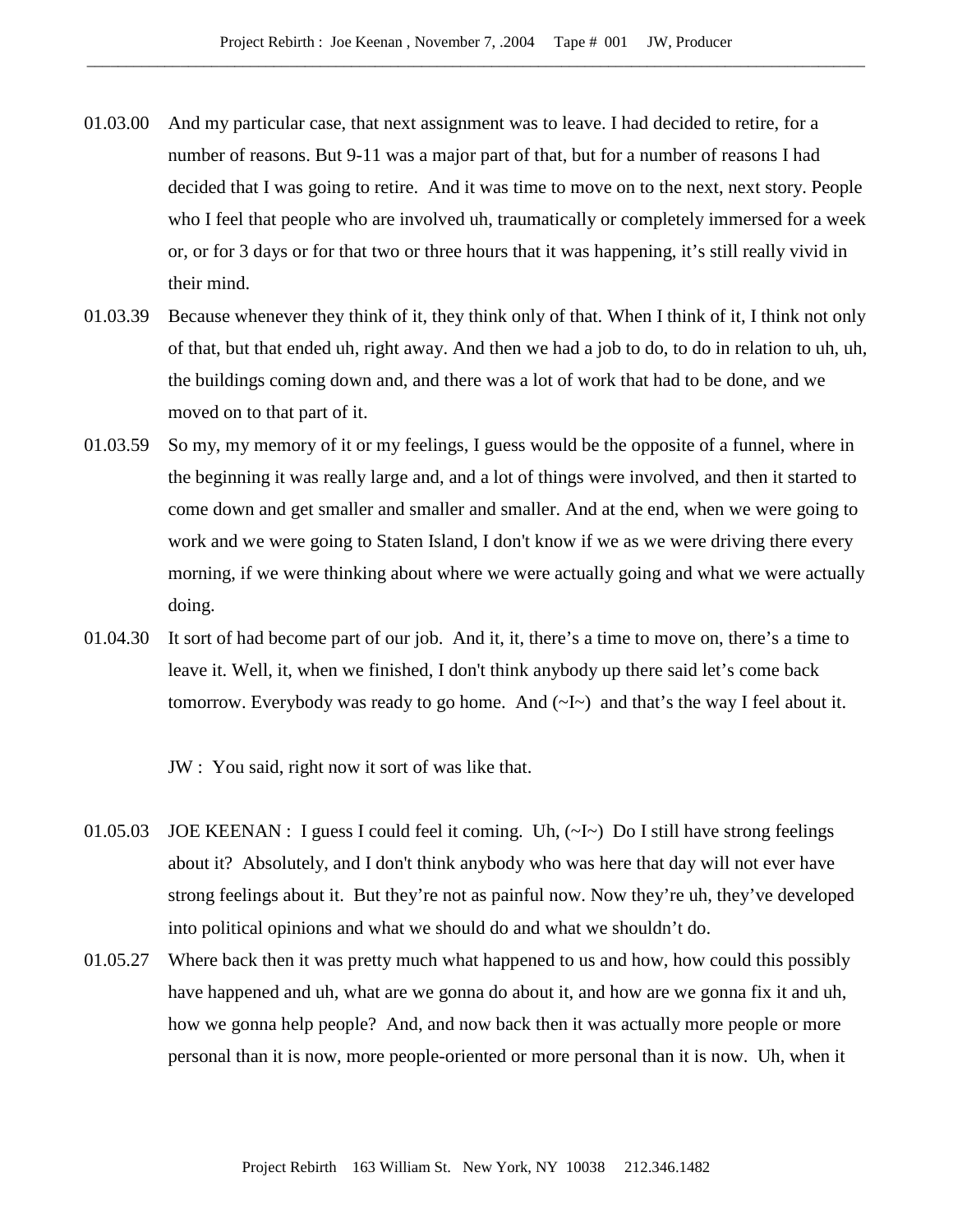- 01.03.00 And my particular case, that next assignment was to leave. I had decided to retire, for a number of reasons. But 9-11 was a major part of that, but for a number of reasons I had decided that I was going to retire. And it was time to move on to the next, next story. People who I feel that people who are involved uh, traumatically or completely immersed for a week or, or for 3 days or for that two or three hours that it was happening, it's still really vivid in their mind.
- 01.03.39 Because whenever they think of it, they think only of that. When I think of it, I think not only of that, but that ended uh, right away. And then we had a job to do, to do in relation to uh, uh, the buildings coming down and, and there was a lot of work that had to be done, and we moved on to that part of it.
- 01.03.59 So my, my memory of it or my feelings, I guess would be the opposite of a funnel, where in the beginning it was really large and, and a lot of things were involved, and then it started to come down and get smaller and smaller and smaller. And at the end, when we were going to work and we were going to Staten Island, I don't know if we as we were driving there every morning, if we were thinking about where we were actually going and what we were actually doing.
- 01.04.30 It sort of had become part of our job. And it, it, there's a time to move on, there's a time to leave it. Well, it, when we finished, I don't think anybody up there said let's come back tomorrow. Everybody was ready to go home. And  $(\sim I \sim)$  and that's the way I feel about it.

JW : You said, right now it sort of was like that.

- 01.05.03 JOE KEENAN : I guess I could feel it coming. Uh,  $(\sim l \sim)$  Do I still have strong feelings about it? Absolutely, and I don't think anybody who was here that day will not ever have strong feelings about it. But they're not as painful now. Now they're uh, they've developed into political opinions and what we should do and what we shouldn't do.
- 01.05.27 Where back then it was pretty much what happened to us and how, how could this possibly have happened and uh, what are we gonna do about it, and how are we gonna fix it and uh, how we gonna help people? And, and now back then it was actually more people or more personal than it is now, more people-oriented or more personal than it is now. Uh, when it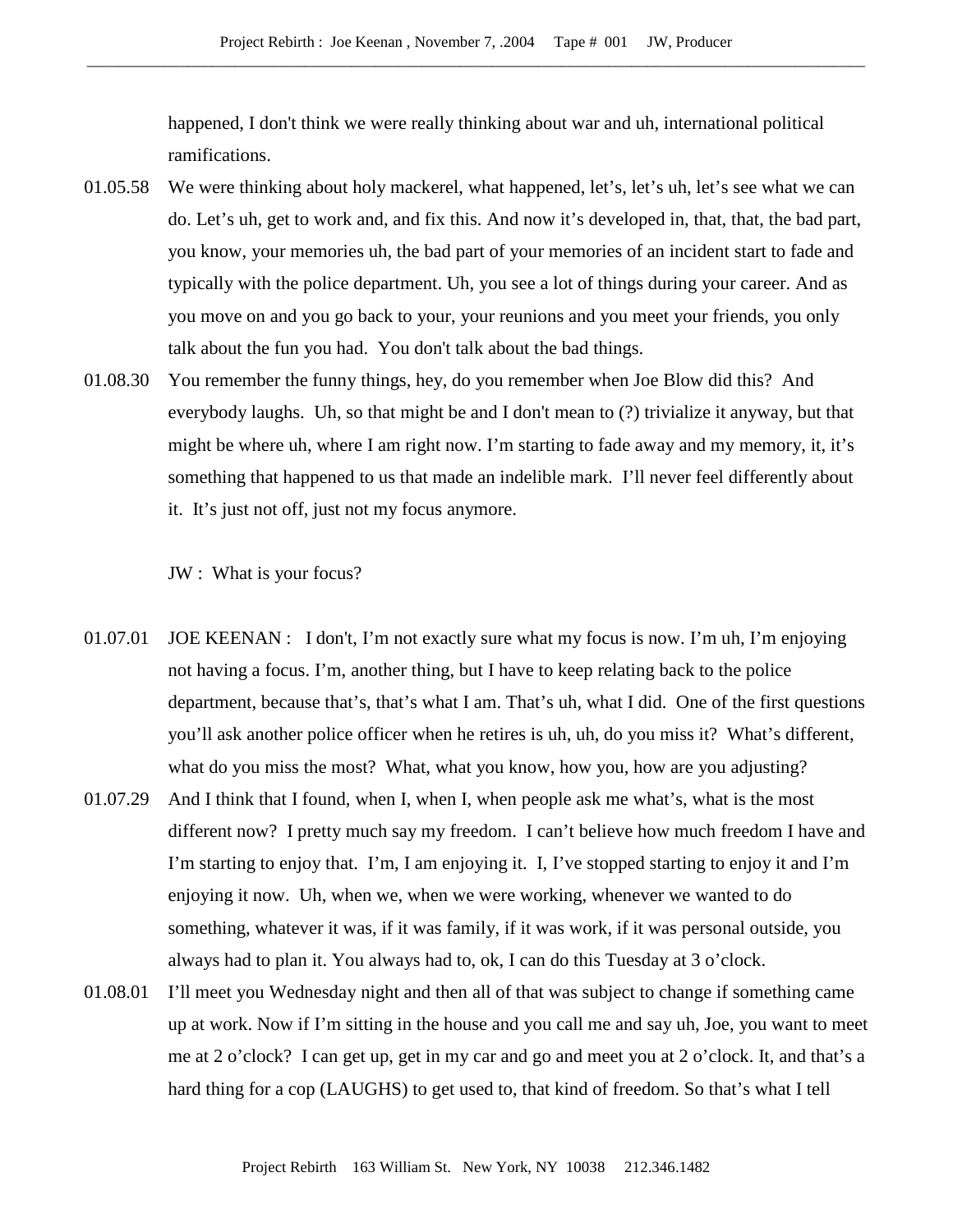happened, I don't think we were really thinking about war and uh, international political ramifications.

- 01.05.58 We were thinking about holy mackerel, what happened, let's, let's uh, let's see what we can do. Let's uh, get to work and, and fix this. And now it's developed in, that, that, the bad part, you know, your memories uh, the bad part of your memories of an incident start to fade and typically with the police department. Uh, you see a lot of things during your career. And as you move on and you go back to your, your reunions and you meet your friends, you only talk about the fun you had. You don't talk about the bad things.
- 01.08.30 You remember the funny things, hey, do you remember when Joe Blow did this? And everybody laughs. Uh, so that might be and I don't mean to (?) trivialize it anyway, but that might be where uh, where I am right now. I'm starting to fade away and my memory, it, it's something that happened to us that made an indelible mark. I'll never feel differently about it. It's just not off, just not my focus anymore.

JW : What is your focus?

- 01.07.01 JOE KEENAN : I don't, I'm not exactly sure what my focus is now. I'm uh, I'm enjoying not having a focus. I'm, another thing, but I have to keep relating back to the police department, because that's, that's what I am. That's uh, what I did. One of the first questions you'll ask another police officer when he retires is uh, uh, do you miss it? What's different, what do you miss the most? What, what you know, how you, how are you adjusting?
- 01.07.29 And I think that I found, when I, when I, when people ask me what's, what is the most different now? I pretty much say my freedom. I can't believe how much freedom I have and I'm starting to enjoy that. I'm, I am enjoying it. I, I've stopped starting to enjoy it and I'm enjoying it now. Uh, when we, when we were working, whenever we wanted to do something, whatever it was, if it was family, if it was work, if it was personal outside, you always had to plan it. You always had to, ok, I can do this Tuesday at 3 o'clock.
- 01.08.01 I'll meet you Wednesday night and then all of that was subject to change if something came up at work. Now if I'm sitting in the house and you call me and say uh, Joe, you want to meet me at 2 o'clock? I can get up, get in my car and go and meet you at 2 o'clock. It, and that's a hard thing for a cop (LAUGHS) to get used to, that kind of freedom. So that's what I tell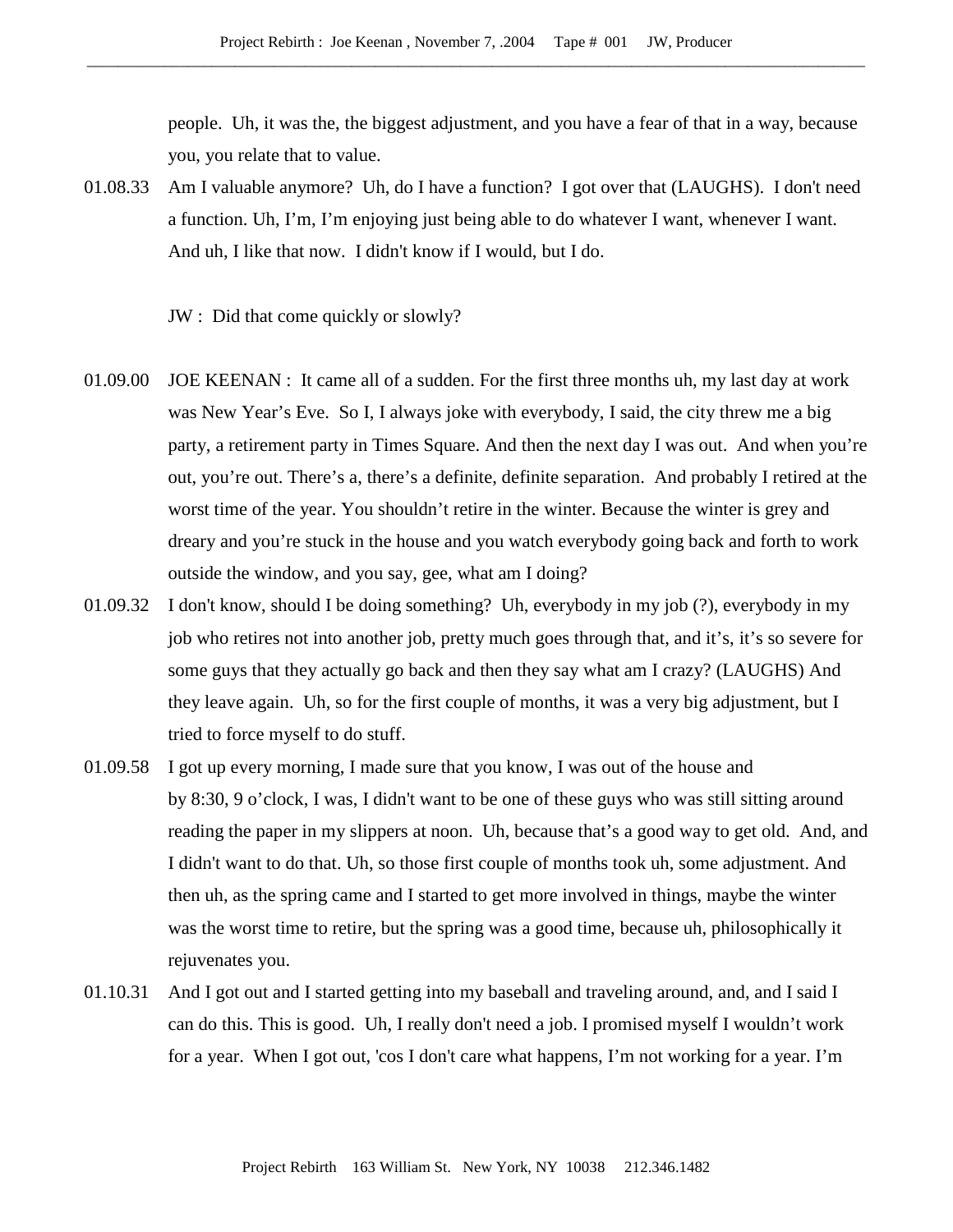people. Uh, it was the, the biggest adjustment, and you have a fear of that in a way, because you, you relate that to value.

01.08.33 Am I valuable anymore? Uh, do I have a function? I got over that (LAUGHS). I don't need a function. Uh, I'm, I'm enjoying just being able to do whatever I want, whenever I want. And uh, I like that now. I didn't know if I would, but I do.

JW : Did that come quickly or slowly?

- 01.09.00 JOE KEENAN : It came all of a sudden. For the first three months uh, my last day at work was New Year's Eve. So I, I always joke with everybody, I said, the city threw me a big party, a retirement party in Times Square. And then the next day I was out. And when you're out, you're out. There's a, there's a definite, definite separation. And probably I retired at the worst time of the year. You shouldn't retire in the winter. Because the winter is grey and dreary and you're stuck in the house and you watch everybody going back and forth to work outside the window, and you say, gee, what am I doing?
- 01.09.32 I don't know, should I be doing something? Uh, everybody in my job (?), everybody in my job who retires not into another job, pretty much goes through that, and it's, it's so severe for some guys that they actually go back and then they say what am I crazy? (LAUGHS) And they leave again. Uh, so for the first couple of months, it was a very big adjustment, but I tried to force myself to do stuff.
- 01.09.58 I got up every morning, I made sure that you know, I was out of the house and by 8:30, 9 o'clock, I was, I didn't want to be one of these guys who was still sitting around reading the paper in my slippers at noon. Uh, because that's a good way to get old. And, and I didn't want to do that. Uh, so those first couple of months took uh, some adjustment. And then uh, as the spring came and I started to get more involved in things, maybe the winter was the worst time to retire, but the spring was a good time, because uh, philosophically it rejuvenates you.
- 01.10.31 And I got out and I started getting into my baseball and traveling around, and, and I said I can do this. This is good. Uh, I really don't need a job. I promised myself I wouldn't work for a year. When I got out, 'cos I don't care what happens, I'm not working for a year. I'm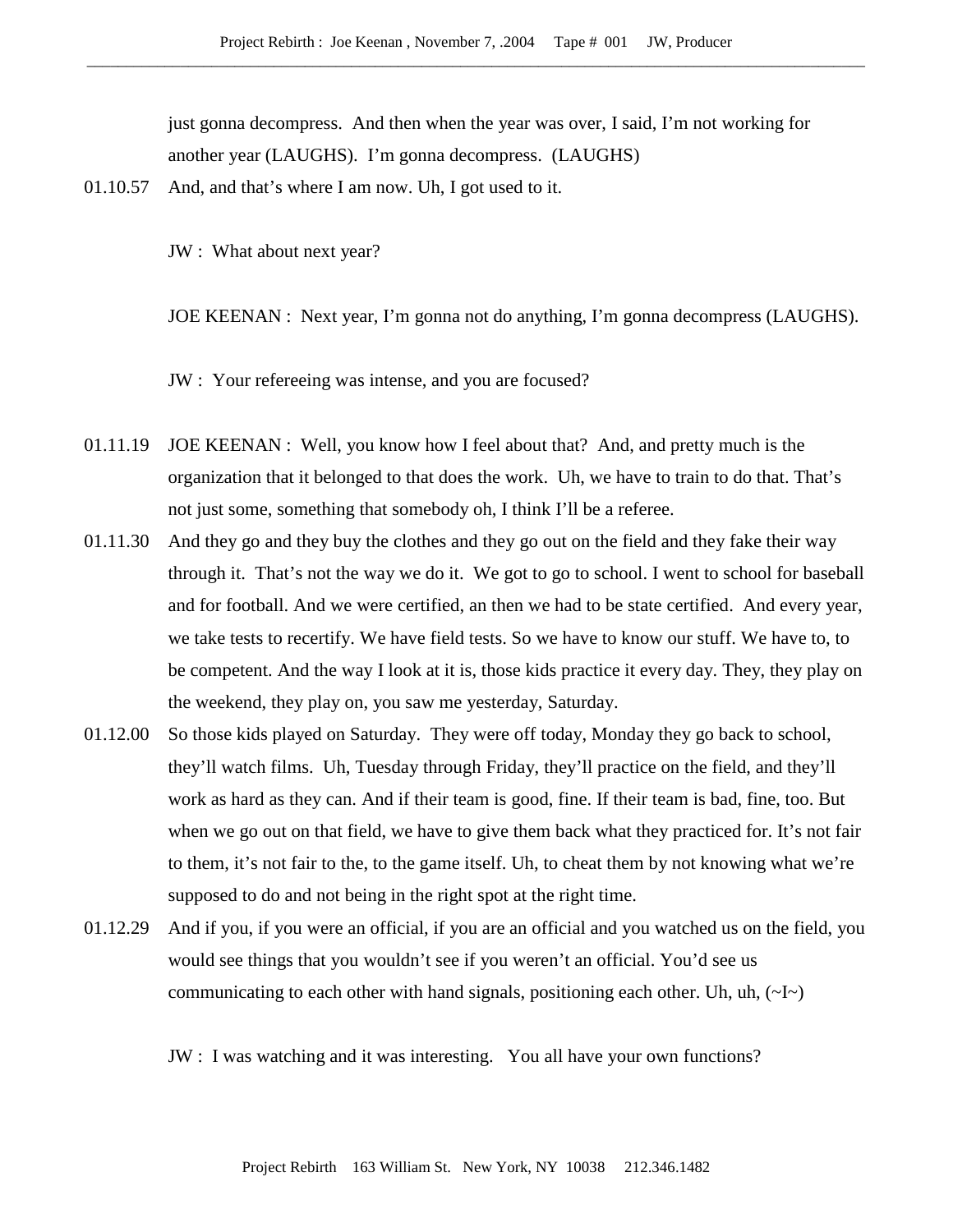just gonna decompress. And then when the year was over, I said, I'm not working for another year (LAUGHS). I'm gonna decompress. (LAUGHS)

01.10.57 And, and that's where I am now. Uh, I got used to it.

JW : What about next year?

JOE KEENAN : Next year, I'm gonna not do anything, I'm gonna decompress (LAUGHS).

JW : Your refereeing was intense, and you are focused?

- 01.11.19 JOE KEENAN : Well, you know how I feel about that? And, and pretty much is the organization that it belonged to that does the work. Uh, we have to train to do that. That's not just some, something that somebody oh, I think I'll be a referee.
- 01.11.30 And they go and they buy the clothes and they go out on the field and they fake their way through it. That's not the way we do it. We got to go to school. I went to school for baseball and for football. And we were certified, an then we had to be state certified. And every year, we take tests to recertify. We have field tests. So we have to know our stuff. We have to, to be competent. And the way I look at it is, those kids practice it every day. They, they play on the weekend, they play on, you saw me yesterday, Saturday.
- 01.12.00 So those kids played on Saturday. They were off today, Monday they go back to school, they'll watch films. Uh, Tuesday through Friday, they'll practice on the field, and they'll work as hard as they can. And if their team is good, fine. If their team is bad, fine, too. But when we go out on that field, we have to give them back what they practiced for. It's not fair to them, it's not fair to the, to the game itself. Uh, to cheat them by not knowing what we're supposed to do and not being in the right spot at the right time.
- 01.12.29 And if you, if you were an official, if you are an official and you watched us on the field, you would see things that you wouldn't see if you weren't an official. You'd see us communicating to each other with hand signals, positioning each other. Uh, uh,  $(\sim I \sim)$

JW : I was watching and it was interesting. You all have your own functions?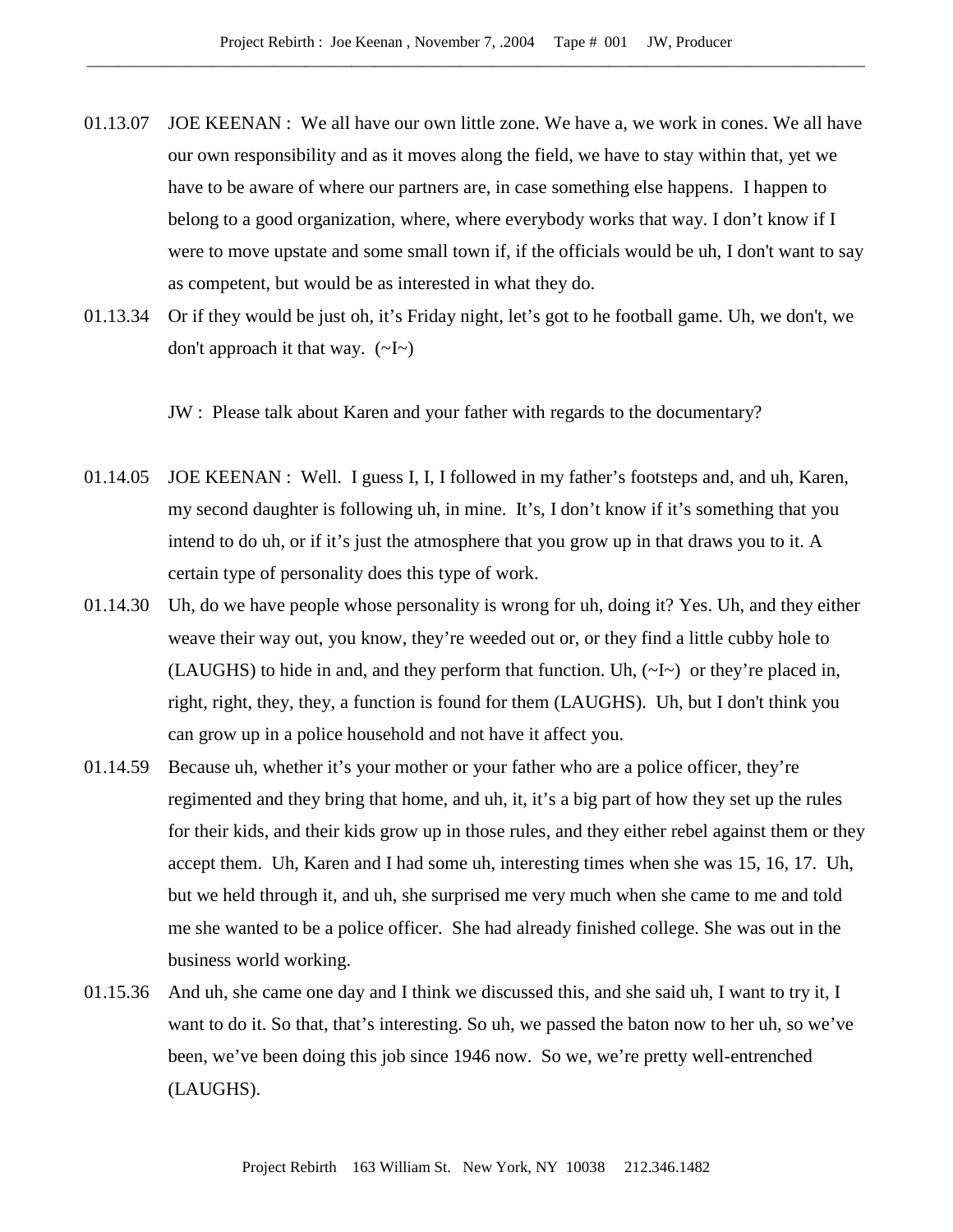- 01.13.07 JOE KEENAN : We all have our own little zone. We have a, we work in cones. We all have our own responsibility and as it moves along the field, we have to stay within that, yet we have to be aware of where our partners are, in case something else happens. I happen to belong to a good organization, where, where everybody works that way. I don't know if I were to move upstate and some small town if, if the officials would be uh, I don't want to say as competent, but would be as interested in what they do.
- 01.13.34 Or if they would be just oh, it's Friday night, let's got to he football game. Uh, we don't, we don't approach it that way.  $(-I)$

JW : Please talk about Karen and your father with regards to the documentary?

- 01.14.05 JOE KEENAN : Well. I guess I, I, I followed in my father's footsteps and, and uh, Karen, my second daughter is following uh, in mine. It's, I don't know if it's something that you intend to do uh, or if it's just the atmosphere that you grow up in that draws you to it. A certain type of personality does this type of work.
- 01.14.30 Uh, do we have people whose personality is wrong for uh, doing it? Yes. Uh, and they either weave their way out, you know, they're weeded out or, or they find a little cubby hole to (LAUGHS) to hide in and, and they perform that function. Uh, (~I~) or they're placed in, right, right, they, they, a function is found for them (LAUGHS). Uh, but I don't think you can grow up in a police household and not have it affect you.
- 01.14.59 Because uh, whether it's your mother or your father who are a police officer, they're regimented and they bring that home, and uh, it, it's a big part of how they set up the rules for their kids, and their kids grow up in those rules, and they either rebel against them or they accept them. Uh, Karen and I had some uh, interesting times when she was 15, 16, 17. Uh, but we held through it, and uh, she surprised me very much when she came to me and told me she wanted to be a police officer. She had already finished college. She was out in the business world working.
- 01.15.36 And uh, she came one day and I think we discussed this, and she said uh, I want to try it, I want to do it. So that, that's interesting. So uh, we passed the baton now to her uh, so we've been, we've been doing this job since 1946 now. So we, we're pretty well-entrenched (LAUGHS).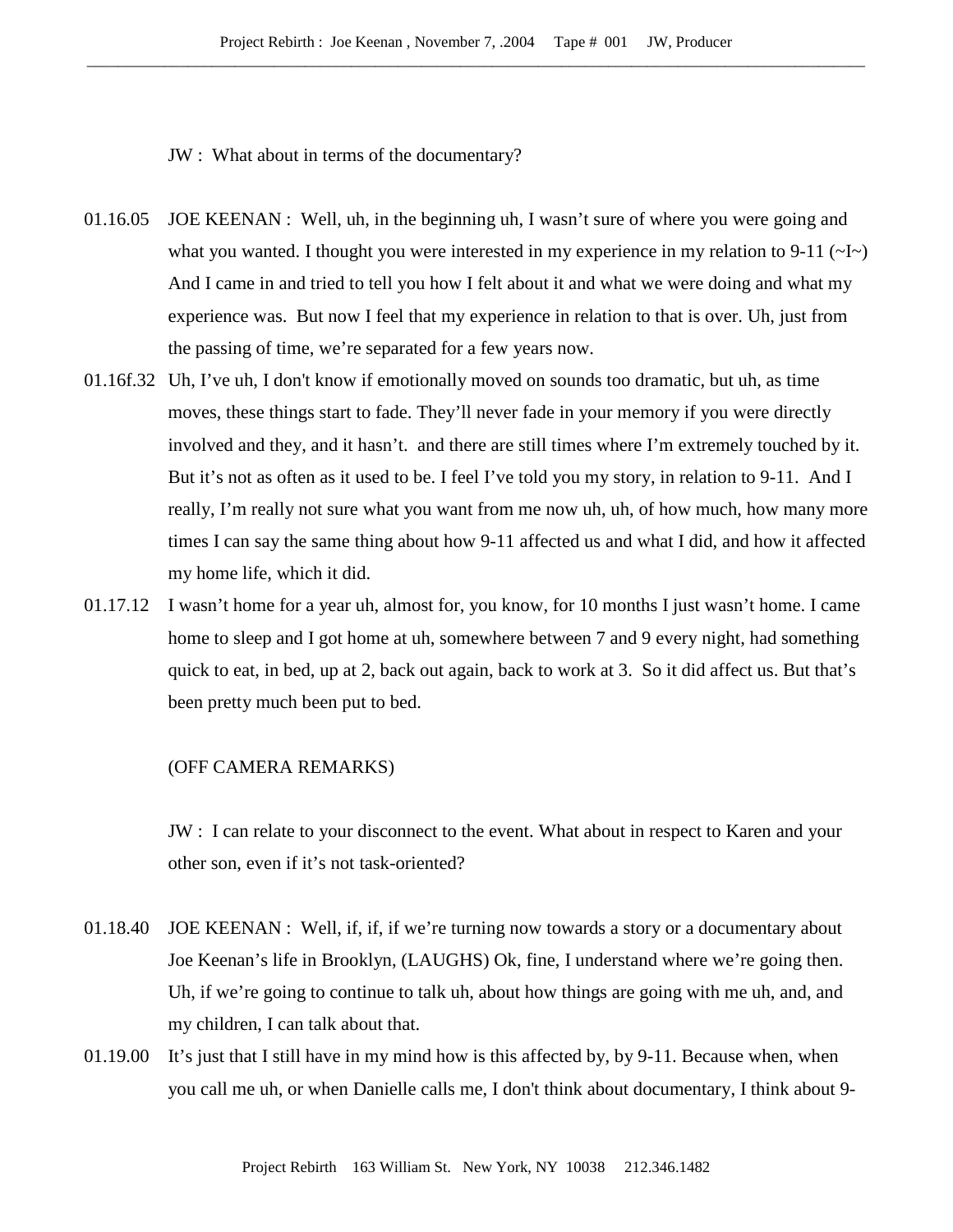JW : What about in terms of the documentary?

- 01.16.05 JOE KEENAN : Well, uh, in the beginning uh, I wasn't sure of where you were going and what you wanted. I thought you were interested in my experience in my relation to 9-11  $(\sim]$ And I came in and tried to tell you how I felt about it and what we were doing and what my experience was. But now I feel that my experience in relation to that is over. Uh, just from the passing of time, we're separated for a few years now.
- 01.16f.32 Uh, I've uh, I don't know if emotionally moved on sounds too dramatic, but uh, as time moves, these things start to fade. They'll never fade in your memory if you were directly involved and they, and it hasn't. and there are still times where I'm extremely touched by it. But it's not as often as it used to be. I feel I've told you my story, in relation to 9-11. And I really, I'm really not sure what you want from me now uh, uh, of how much, how many more times I can say the same thing about how 9-11 affected us and what I did, and how it affected my home life, which it did.
- 01.17.12 I wasn't home for a year uh, almost for, you know, for 10 months I just wasn't home. I came home to sleep and I got home at uh, somewhere between 7 and 9 every night, had something quick to eat, in bed, up at 2, back out again, back to work at 3. So it did affect us. But that's been pretty much been put to bed.

### (OFF CAMERA REMARKS)

JW : I can relate to your disconnect to the event. What about in respect to Karen and your other son, even if it's not task-oriented?

- 01.18.40 JOE KEENAN : Well, if, if, if we're turning now towards a story or a documentary about Joe Keenan's life in Brooklyn, (LAUGHS) Ok, fine, I understand where we're going then. Uh, if we're going to continue to talk uh, about how things are going with me uh, and, and my children, I can talk about that.
- 01.19.00 It's just that I still have in my mind how is this affected by, by 9-11. Because when, when you call me uh, or when Danielle calls me, I don't think about documentary, I think about 9-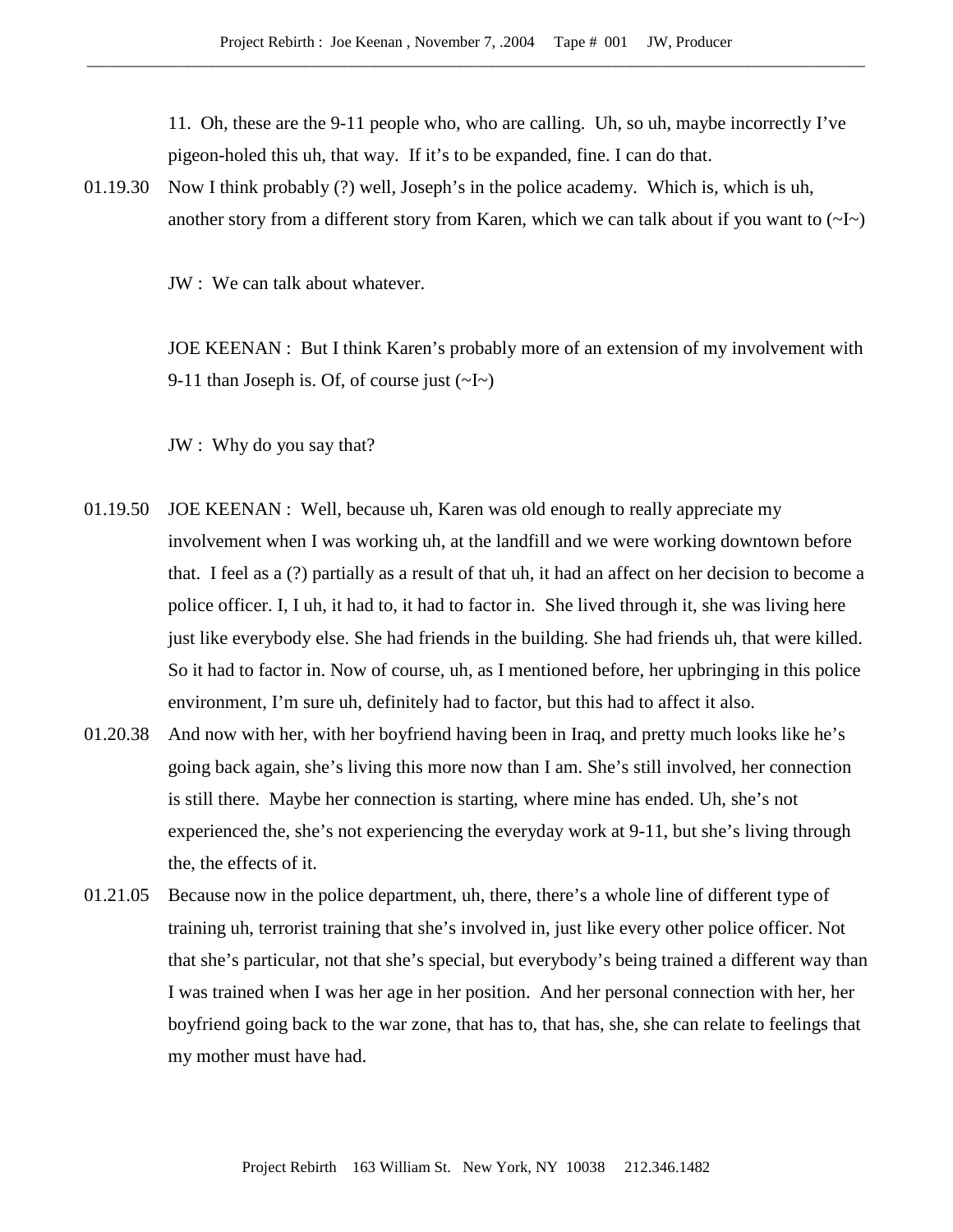11. Oh, these are the 9-11 people who, who are calling. Uh, so uh, maybe incorrectly I've pigeon-holed this uh, that way. If it's to be expanded, fine. I can do that.

01.19.30 Now I think probably (?) well, Joseph's in the police academy. Which is, which is uh, another story from a different story from Karen, which we can talk about if you want to  $(\sim]$ [ $\sim$ ]

JW : We can talk about whatever.

JOE KEENAN : But I think Karen's probably more of an extension of my involvement with 9-11 than Joseph is. Of, of course just  $(\sim I \sim)$ 

JW : Why do you say that?

- 01.19.50 JOE KEENAN : Well, because uh, Karen was old enough to really appreciate my involvement when I was working uh, at the landfill and we were working downtown before that. I feel as a (?) partially as a result of that uh, it had an affect on her decision to become a police officer. I, I uh, it had to, it had to factor in. She lived through it, she was living here just like everybody else. She had friends in the building. She had friends uh, that were killed. So it had to factor in. Now of course, uh, as I mentioned before, her upbringing in this police environment, I'm sure uh, definitely had to factor, but this had to affect it also.
- 01.20.38 And now with her, with her boyfriend having been in Iraq, and pretty much looks like he's going back again, she's living this more now than I am. She's still involved, her connection is still there. Maybe her connection is starting, where mine has ended. Uh, she's not experienced the, she's not experiencing the everyday work at 9-11, but she's living through the, the effects of it.
- 01.21.05 Because now in the police department, uh, there, there's a whole line of different type of training uh, terrorist training that she's involved in, just like every other police officer. Not that she's particular, not that she's special, but everybody's being trained a different way than I was trained when I was her age in her position. And her personal connection with her, her boyfriend going back to the war zone, that has to, that has, she, she can relate to feelings that my mother must have had.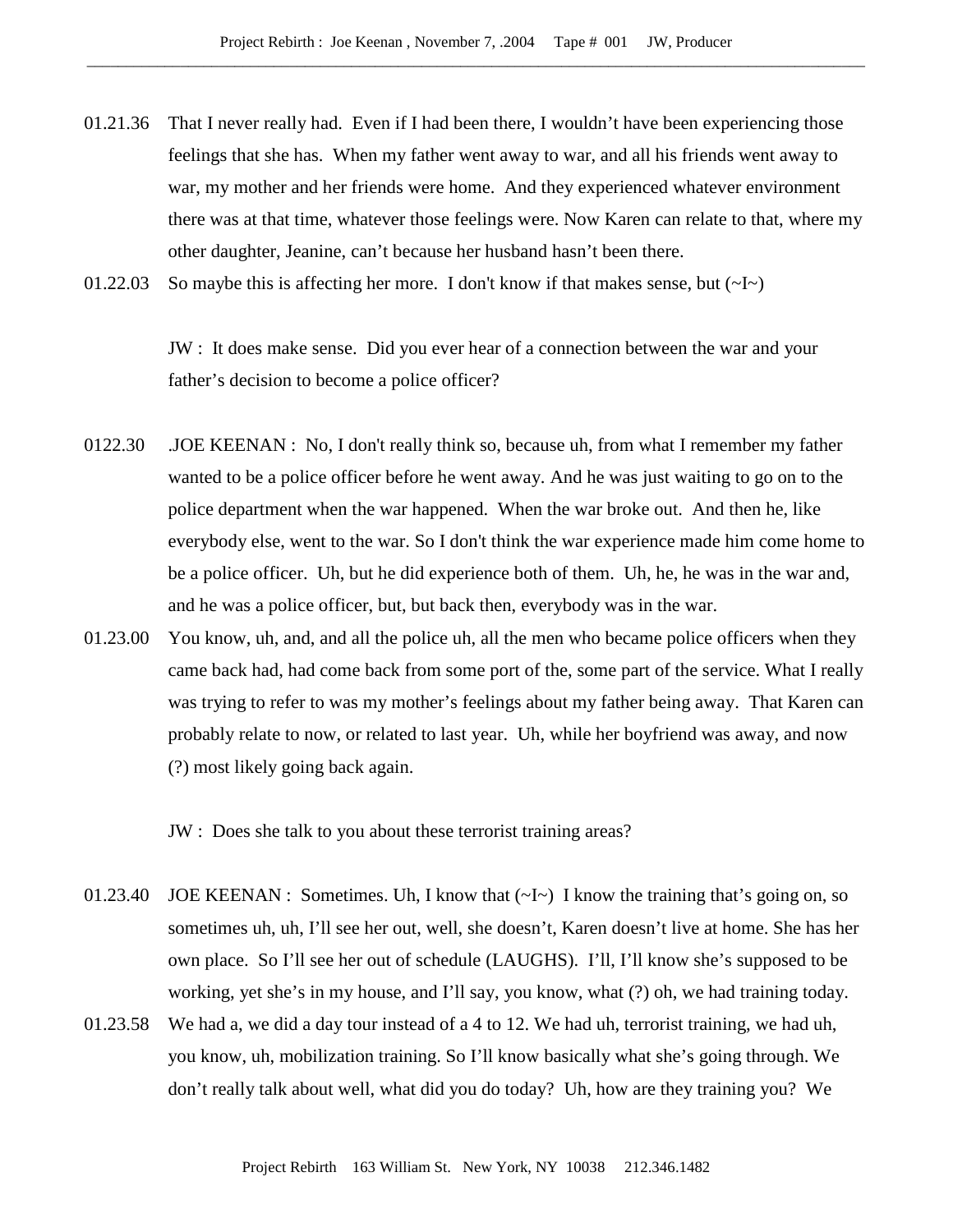- 01.21.36 That I never really had. Even if I had been there, I wouldn't have been experiencing those feelings that she has. When my father went away to war, and all his friends went away to war, my mother and her friends were home. And they experienced whatever environment there was at that time, whatever those feelings were. Now Karen can relate to that, where my other daughter, Jeanine, can't because her husband hasn't been there.
- 01.22.03 So maybe this is affecting her more. I don't know if that makes sense, but  $(\sim I \sim)$

JW : It does make sense. Did you ever hear of a connection between the war and your father's decision to become a police officer?

- 0122.30 .JOE KEENAN : No, I don't really think so, because uh, from what I remember my father wanted to be a police officer before he went away. And he was just waiting to go on to the police department when the war happened. When the war broke out. And then he, like everybody else, went to the war. So I don't think the war experience made him come home to be a police officer. Uh, but he did experience both of them. Uh, he, he was in the war and, and he was a police officer, but, but back then, everybody was in the war.
- 01.23.00 You know, uh, and, and all the police uh, all the men who became police officers when they came back had, had come back from some port of the, some part of the service. What I really was trying to refer to was my mother's feelings about my father being away. That Karen can probably relate to now, or related to last year. Uh, while her boyfriend was away, and now (?) most likely going back again.

JW : Does she talk to you about these terrorist training areas?

- 01.23.40 JOE KEENAN : Sometimes. Uh, I know that  $(\sim I \sim)$  I know the training that's going on, so sometimes uh, uh, I'll see her out, well, she doesn't, Karen doesn't live at home. She has her own place. So I'll see her out of schedule (LAUGHS). I'll, I'll know she's supposed to be working, yet she's in my house, and I'll say, you know, what (?) oh, we had training today.
- 01.23.58 We had a, we did a day tour instead of a 4 to 12. We had uh, terrorist training, we had uh, you know, uh, mobilization training. So I'll know basically what she's going through. We don't really talk about well, what did you do today? Uh, how are they training you? We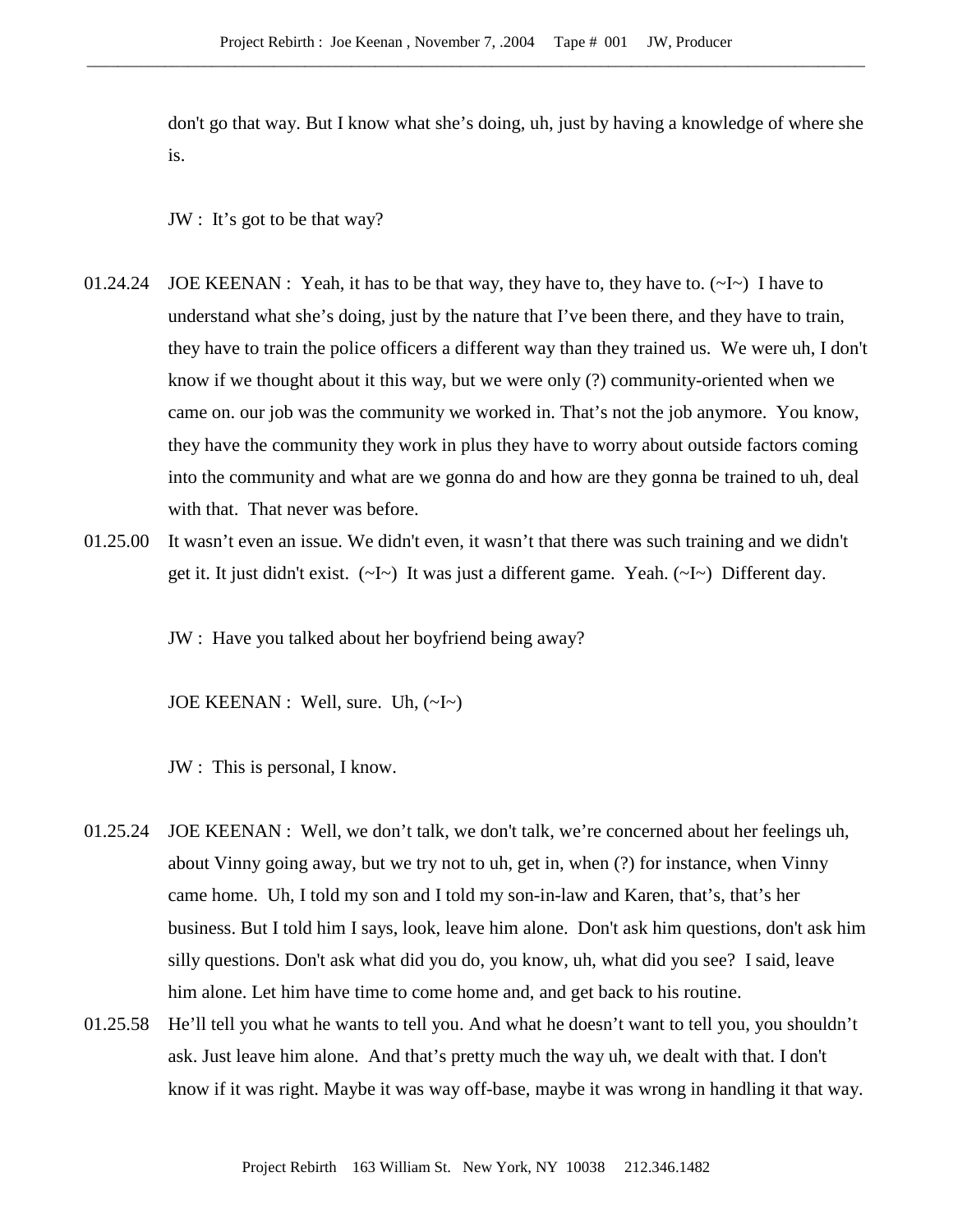don't go that way. But I know what she's doing, uh, just by having a knowledge of where she is.

JW : It's got to be that way?

- 01.24.24 JOE KEENAN : Yeah, it has to be that way, they have to, they have to.  $(\sim I \sim)$  I have to understand what she's doing, just by the nature that I've been there, and they have to train, they have to train the police officers a different way than they trained us. We were uh, I don't know if we thought about it this way, but we were only (?) community-oriented when we came on. our job was the community we worked in. That's not the job anymore. You know, they have the community they work in plus they have to worry about outside factors coming into the community and what are we gonna do and how are they gonna be trained to uh, deal with that. That never was before.
- 01.25.00 It wasn't even an issue. We didn't even, it wasn't that there was such training and we didn't get it. It just didn't exist.  $(\sim I \sim)$  It was just a different game. Yeah.  $(\sim I \sim)$  Different day.

JW : Have you talked about her boyfriend being away?

JOE KEENAN : Well, sure. Uh,  $(\sim I \sim)$ 

JW : This is personal, I know.

- 01.25.24 JOE KEENAN : Well, we don't talk, we don't talk, we're concerned about her feelings uh, about Vinny going away, but we try not to uh, get in, when (?) for instance, when Vinny came home. Uh, I told my son and I told my son-in-law and Karen, that's, that's her business. But I told him I says, look, leave him alone. Don't ask him questions, don't ask him silly questions. Don't ask what did you do, you know, uh, what did you see? I said, leave him alone. Let him have time to come home and, and get back to his routine.
- 01.25.58 He'll tell you what he wants to tell you. And what he doesn't want to tell you, you shouldn't ask. Just leave him alone. And that's pretty much the way uh, we dealt with that. I don't know if it was right. Maybe it was way off-base, maybe it was wrong in handling it that way.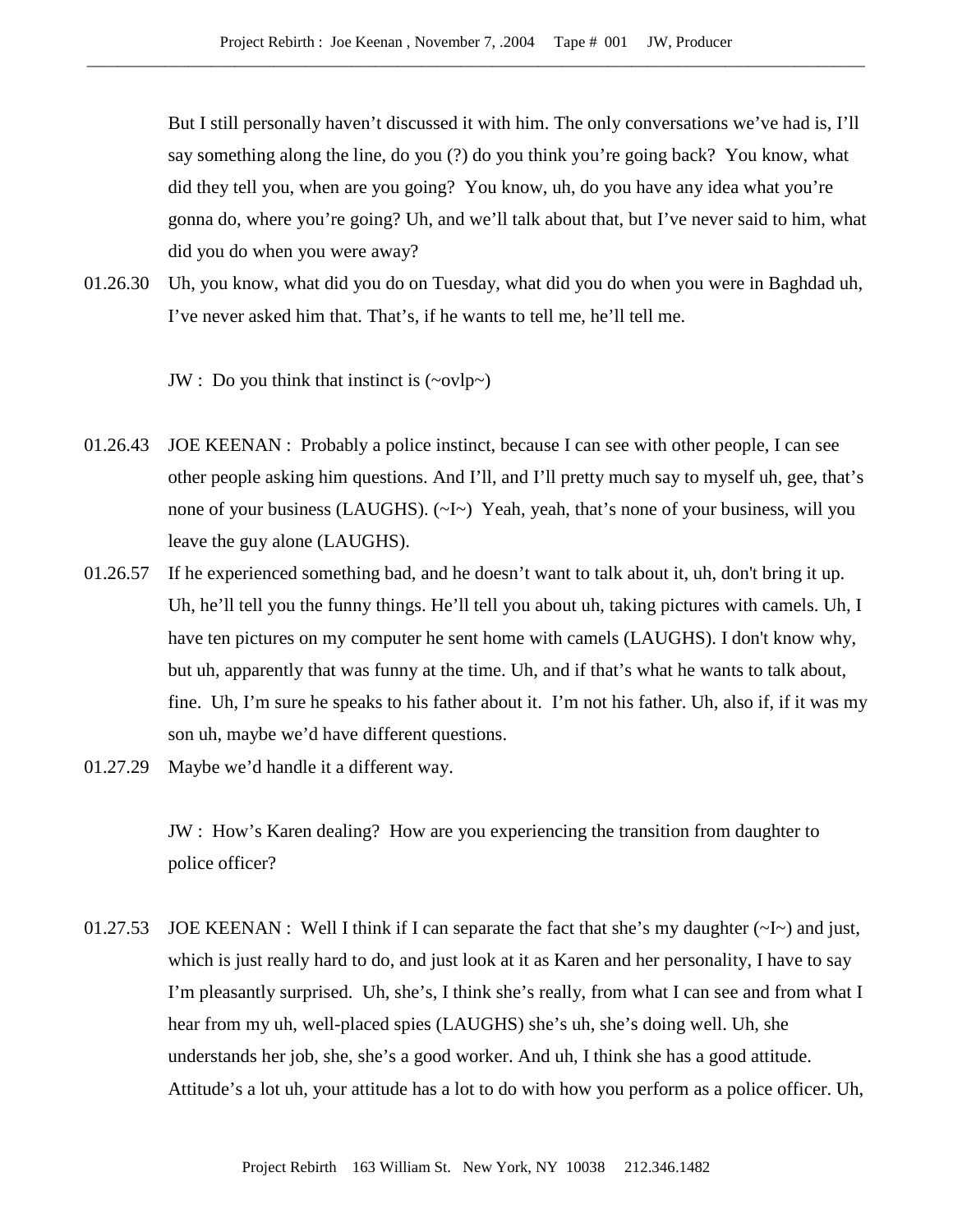But I still personally haven't discussed it with him. The only conversations we've had is, I'll say something along the line, do you (?) do you think you're going back? You know, what did they tell you, when are you going? You know, uh, do you have any idea what you're gonna do, where you're going? Uh, and we'll talk about that, but I've never said to him, what did you do when you were away?

01.26.30 Uh, you know, what did you do on Tuesday, what did you do when you were in Baghdad uh, I've never asked him that. That's, if he wants to tell me, he'll tell me.

JW : Do you think that instinct is  $(\sim ovlp\sim)$ 

- 01.26.43 JOE KEENAN : Probably a police instinct, because I can see with other people, I can see other people asking him questions. And I'll, and I'll pretty much say to myself uh, gee, that's none of your business (LAUGHS).  $(\sim I \sim)$  Yeah, yeah, that's none of your business, will you leave the guy alone (LAUGHS).
- 01.26.57 If he experienced something bad, and he doesn't want to talk about it, uh, don't bring it up. Uh, he'll tell you the funny things. He'll tell you about uh, taking pictures with camels. Uh, I have ten pictures on my computer he sent home with camels (LAUGHS). I don't know why, but uh, apparently that was funny at the time. Uh, and if that's what he wants to talk about, fine. Uh, I'm sure he speaks to his father about it. I'm not his father. Uh, also if, if it was my son uh, maybe we'd have different questions.
- 01.27.29 Maybe we'd handle it a different way.

JW : How's Karen dealing? How are you experiencing the transition from daughter to police officer?

01.27.53 JOE KEENAN : Well I think if I can separate the fact that she's my daughter  $(\sim I \sim)$  and just, which is just really hard to do, and just look at it as Karen and her personality, I have to say I'm pleasantly surprised. Uh, she's, I think she's really, from what I can see and from what I hear from my uh, well-placed spies (LAUGHS) she's uh, she's doing well. Uh, she understands her job, she, she's a good worker. And uh, I think she has a good attitude. Attitude's a lot uh, your attitude has a lot to do with how you perform as a police officer. Uh,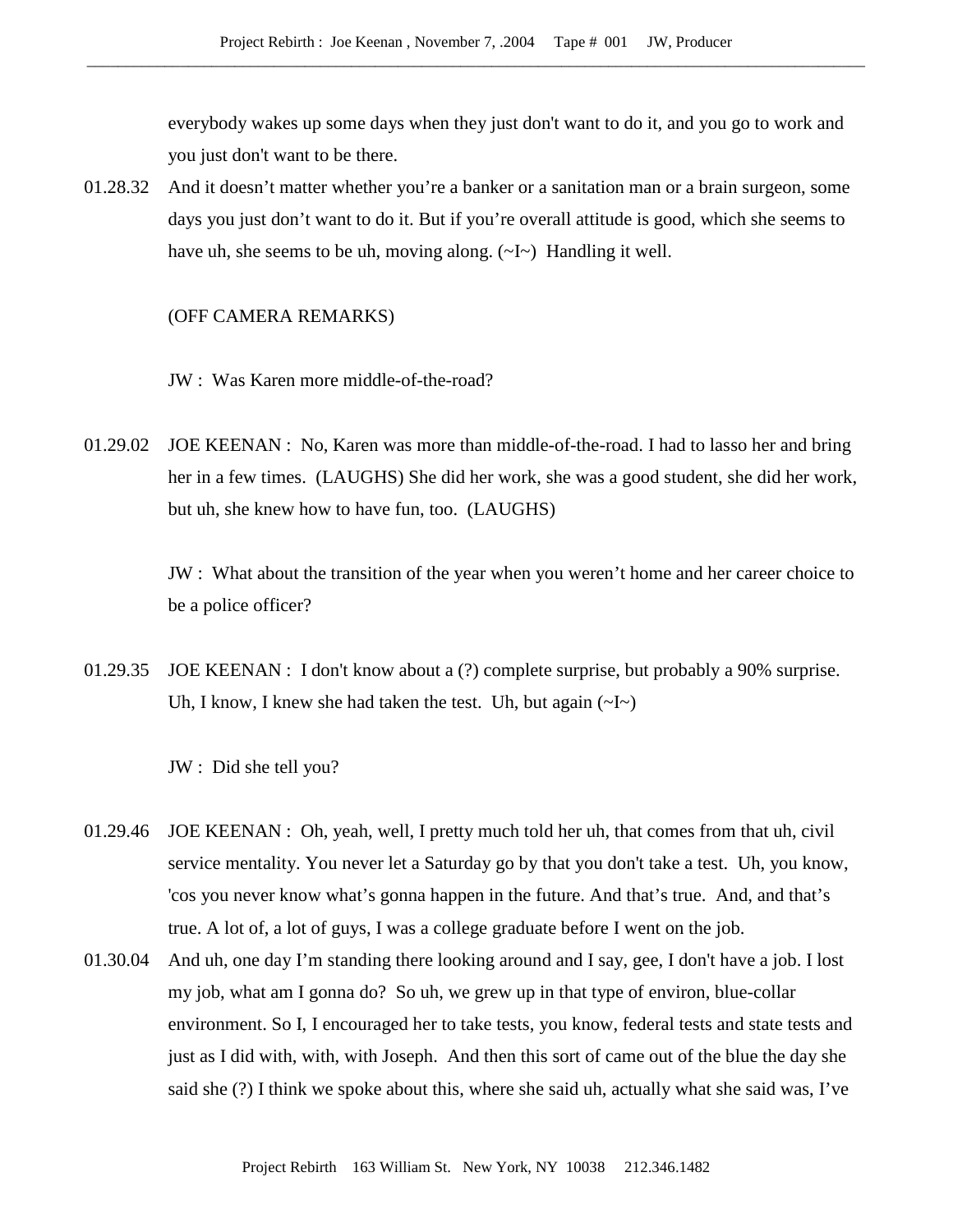everybody wakes up some days when they just don't want to do it, and you go to work and you just don't want to be there.

01.28.32 And it doesn't matter whether you're a banker or a sanitation man or a brain surgeon, some days you just don't want to do it. But if you're overall attitude is good, which she seems to have uh, she seems to be uh, moving along.  $(\sim I \sim)$  Handling it well.

#### (OFF CAMERA REMARKS)

- JW : Was Karen more middle-of-the-road?
- 01.29.02 JOE KEENAN : No, Karen was more than middle-of-the-road. I had to lasso her and bring her in a few times. (LAUGHS) She did her work, she was a good student, she did her work, but uh, she knew how to have fun, too. (LAUGHS)

JW : What about the transition of the year when you weren't home and her career choice to be a police officer?

01.29.35 JOE KEENAN : I don't know about a (?) complete surprise, but probably a 90% surprise. Uh, I know, I knew she had taken the test. Uh, but again  $(\sim]$ 

JW : Did she tell you?

- 01.29.46 JOE KEENAN : Oh, yeah, well, I pretty much told her uh, that comes from that uh, civil service mentality. You never let a Saturday go by that you don't take a test. Uh, you know, 'cos you never know what's gonna happen in the future. And that's true. And, and that's true. A lot of, a lot of guys, I was a college graduate before I went on the job.
- 01.30.04 And uh, one day I'm standing there looking around and I say, gee, I don't have a job. I lost my job, what am I gonna do? So uh, we grew up in that type of environ, blue-collar environment. So I, I encouraged her to take tests, you know, federal tests and state tests and just as I did with, with, with Joseph. And then this sort of came out of the blue the day she said she (?) I think we spoke about this, where she said uh, actually what she said was, I've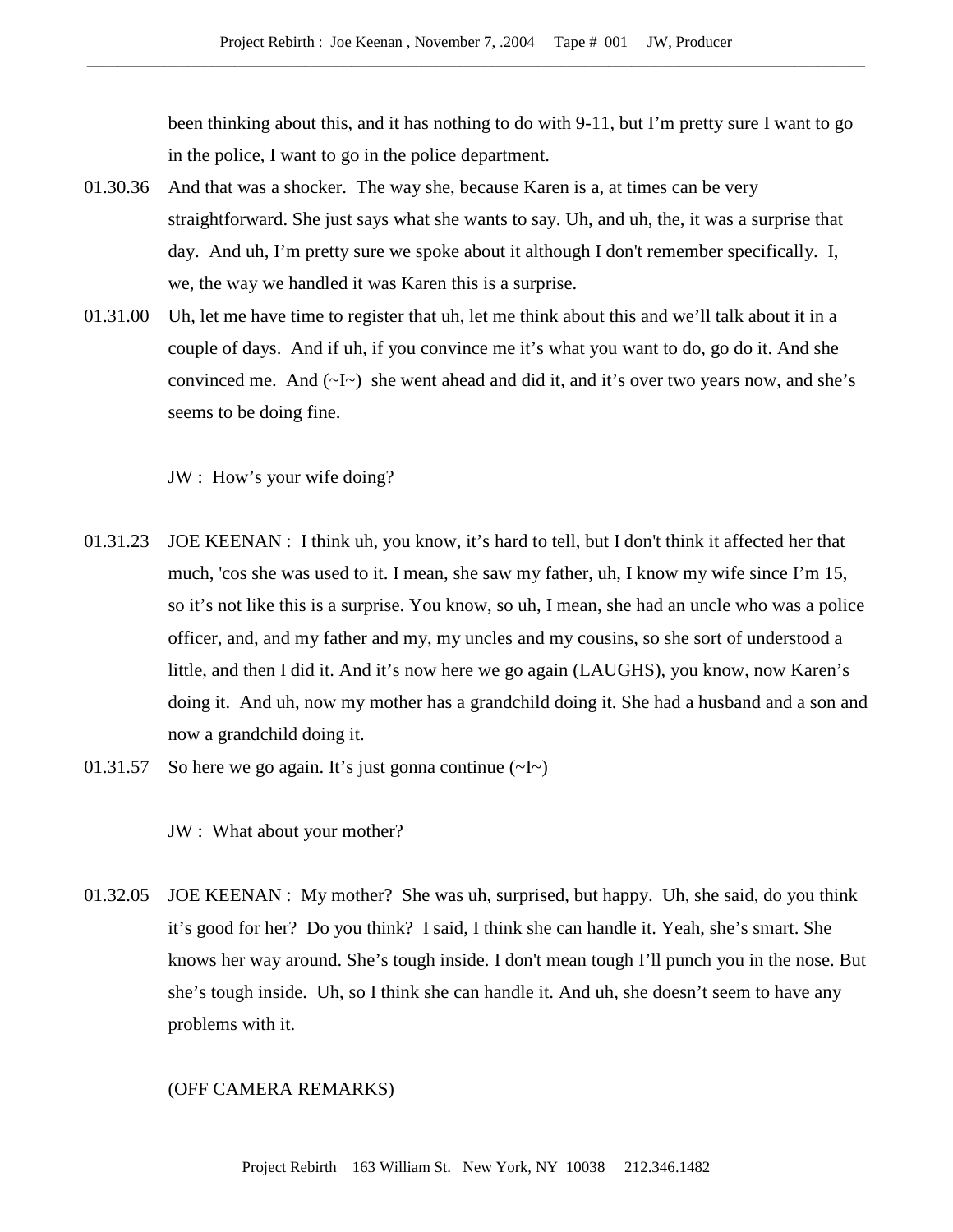been thinking about this, and it has nothing to do with 9-11, but I'm pretty sure I want to go in the police, I want to go in the police department.

- 01.30.36 And that was a shocker. The way she, because Karen is a, at times can be very straightforward. She just says what she wants to say. Uh, and uh, the, it was a surprise that day. And uh, I'm pretty sure we spoke about it although I don't remember specifically. I, we, the way we handled it was Karen this is a surprise.
- 01.31.00 Uh, let me have time to register that uh, let me think about this and we'll talk about it in a couple of days. And if uh, if you convince me it's what you want to do, go do it. And she convinced me. And  $(\sim I \sim)$  she went ahead and did it, and it's over two years now, and she's seems to be doing fine.

JW : How's your wife doing?

- 01.31.23 JOE KEENAN : I think uh, you know, it's hard to tell, but I don't think it affected her that much, 'cos she was used to it. I mean, she saw my father, uh, I know my wife since I'm 15, so it's not like this is a surprise. You know, so uh, I mean, she had an uncle who was a police officer, and, and my father and my, my uncles and my cousins, so she sort of understood a little, and then I did it. And it's now here we go again (LAUGHS), you know, now Karen's doing it. And uh, now my mother has a grandchild doing it. She had a husband and a son and now a grandchild doing it.
- 01.31.57 So here we go again. It's just gonna continue  $(\sim I)$

JW : What about your mother?

01.32.05 JOE KEENAN : My mother? She was uh, surprised, but happy. Uh, she said, do you think it's good for her? Do you think? I said, I think she can handle it. Yeah, she's smart. She knows her way around. She's tough inside. I don't mean tough I'll punch you in the nose. But she's tough inside. Uh, so I think she can handle it. And uh, she doesn't seem to have any problems with it.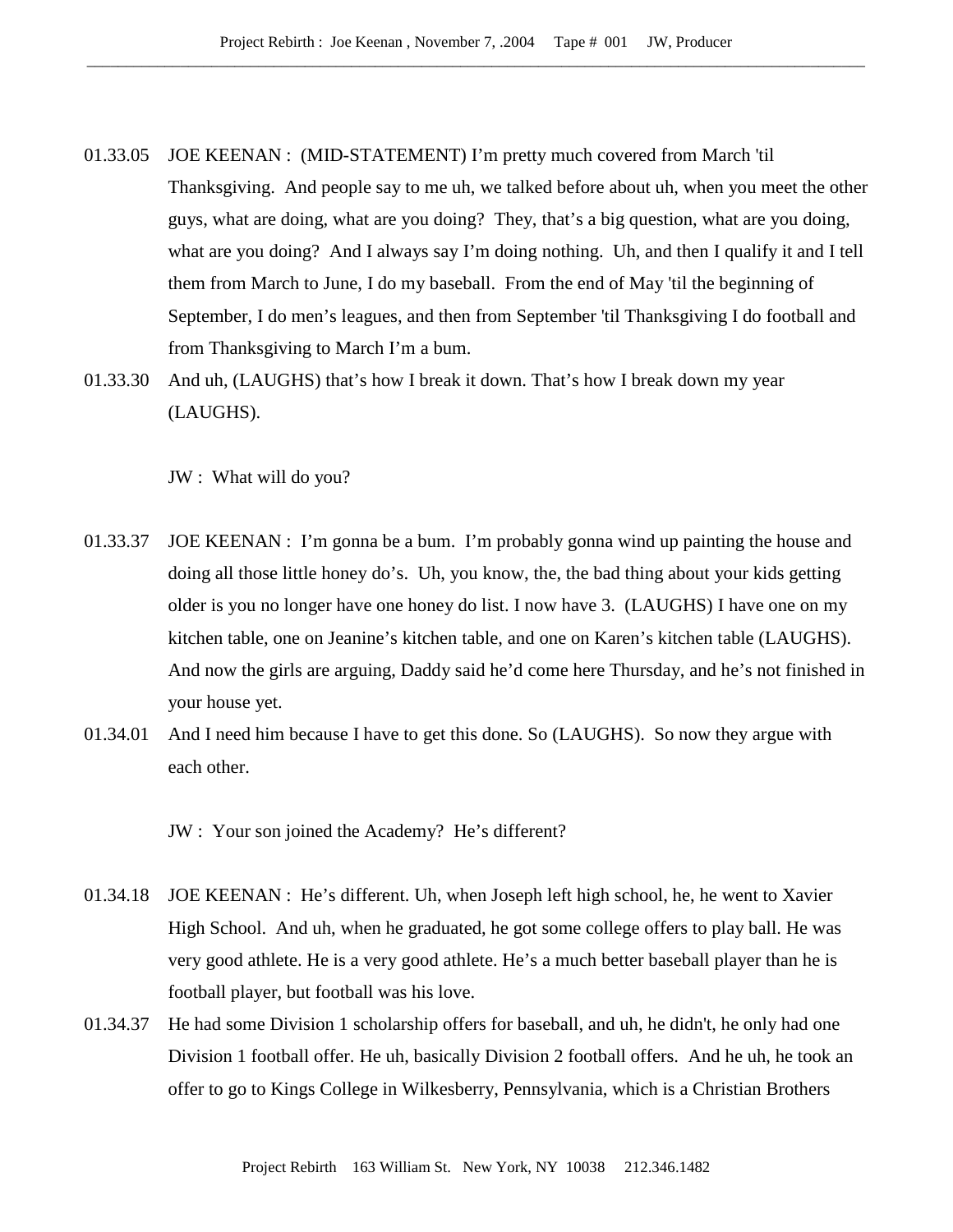- 01.33.05 JOE KEENAN : (MID-STATEMENT) I'm pretty much covered from March 'til Thanksgiving. And people say to me uh, we talked before about uh, when you meet the other guys, what are doing, what are you doing? They, that's a big question, what are you doing, what are you doing? And I always say I'm doing nothing. Uh, and then I qualify it and I tell them from March to June, I do my baseball. From the end of May 'til the beginning of September, I do men's leagues, and then from September 'til Thanksgiving I do football and from Thanksgiving to March I'm a bum.
- 01.33.30 And uh, (LAUGHS) that's how I break it down. That's how I break down my year (LAUGHS).

JW : What will do you?

- 01.33.37 JOE KEENAN : I'm gonna be a bum. I'm probably gonna wind up painting the house and doing all those little honey do's. Uh, you know, the, the bad thing about your kids getting older is you no longer have one honey do list. I now have 3. (LAUGHS) I have one on my kitchen table, one on Jeanine's kitchen table, and one on Karen's kitchen table (LAUGHS). And now the girls are arguing, Daddy said he'd come here Thursday, and he's not finished in your house yet.
- 01.34.01 And I need him because I have to get this done. So (LAUGHS). So now they argue with each other.

JW : Your son joined the Academy? He's different?

- 01.34.18 JOE KEENAN : He's different. Uh, when Joseph left high school, he, he went to Xavier High School. And uh, when he graduated, he got some college offers to play ball. He was very good athlete. He is a very good athlete. He's a much better baseball player than he is football player, but football was his love.
- 01.34.37 He had some Division 1 scholarship offers for baseball, and uh, he didn't, he only had one Division 1 football offer. He uh, basically Division 2 football offers. And he uh, he took an offer to go to Kings College in Wilkesberry, Pennsylvania, which is a Christian Brothers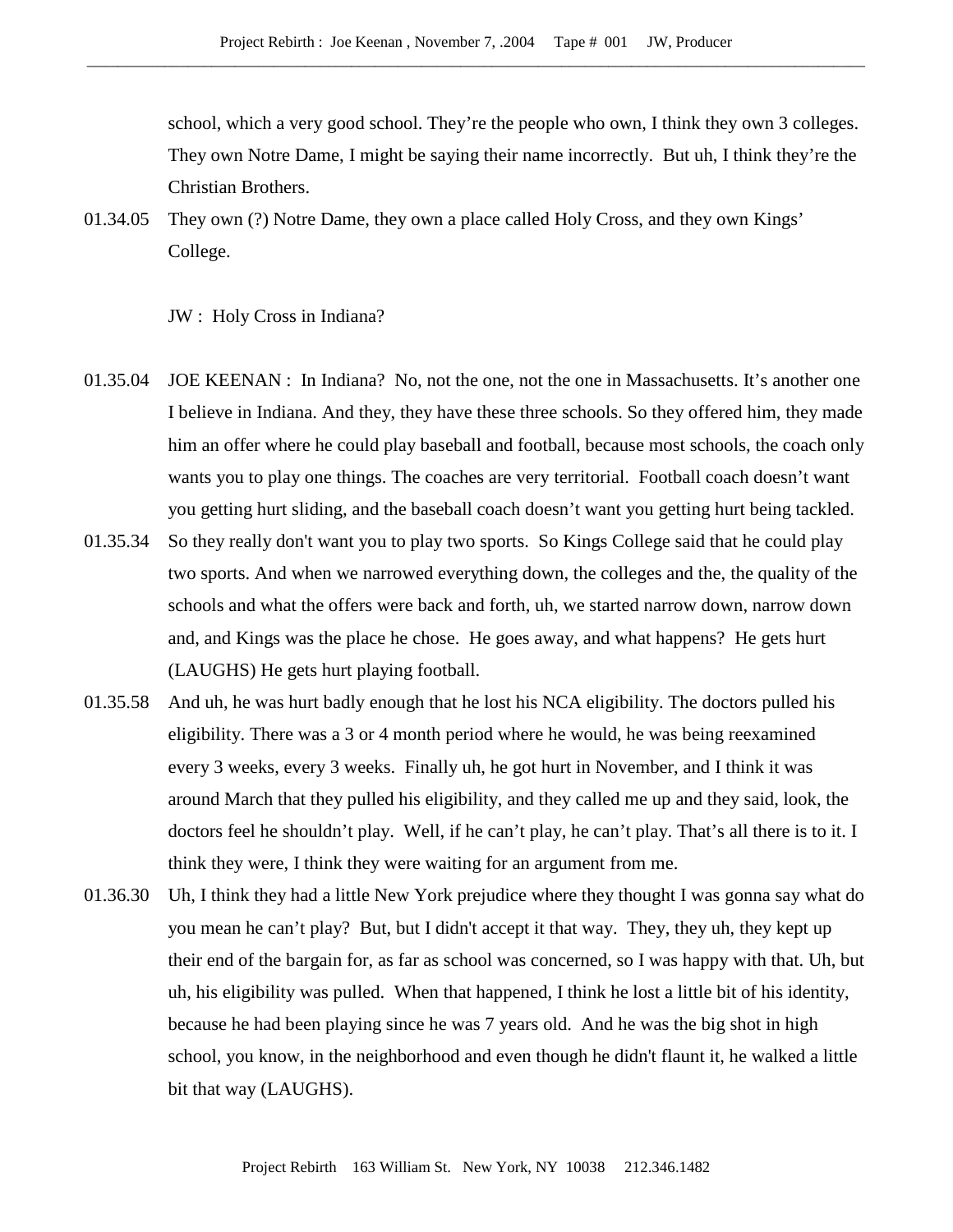school, which a very good school. They're the people who own, I think they own 3 colleges. They own Notre Dame, I might be saying their name incorrectly. But uh, I think they're the Christian Brothers.

01.34.05 They own (?) Notre Dame, they own a place called Holy Cross, and they own Kings' College.

## JW : Holy Cross in Indiana?

- 01.35.04 JOE KEENAN : In Indiana? No, not the one, not the one in Massachusetts. It's another one I believe in Indiana. And they, they have these three schools. So they offered him, they made him an offer where he could play baseball and football, because most schools, the coach only wants you to play one things. The coaches are very territorial. Football coach doesn't want you getting hurt sliding, and the baseball coach doesn't want you getting hurt being tackled.
- 01.35.34 So they really don't want you to play two sports. So Kings College said that he could play two sports. And when we narrowed everything down, the colleges and the, the quality of the schools and what the offers were back and forth, uh, we started narrow down, narrow down and, and Kings was the place he chose. He goes away, and what happens? He gets hurt (LAUGHS) He gets hurt playing football.
- 01.35.58 And uh, he was hurt badly enough that he lost his NCA eligibility. The doctors pulled his eligibility. There was a 3 or 4 month period where he would, he was being reexamined every 3 weeks, every 3 weeks. Finally uh, he got hurt in November, and I think it was around March that they pulled his eligibility, and they called me up and they said, look, the doctors feel he shouldn't play. Well, if he can't play, he can't play. That's all there is to it. I think they were, I think they were waiting for an argument from me.
- 01.36.30 Uh, I think they had a little New York prejudice where they thought I was gonna say what do you mean he can't play? But, but I didn't accept it that way. They, they uh, they kept up their end of the bargain for, as far as school was concerned, so I was happy with that. Uh, but uh, his eligibility was pulled. When that happened, I think he lost a little bit of his identity, because he had been playing since he was 7 years old. And he was the big shot in high school, you know, in the neighborhood and even though he didn't flaunt it, he walked a little bit that way (LAUGHS).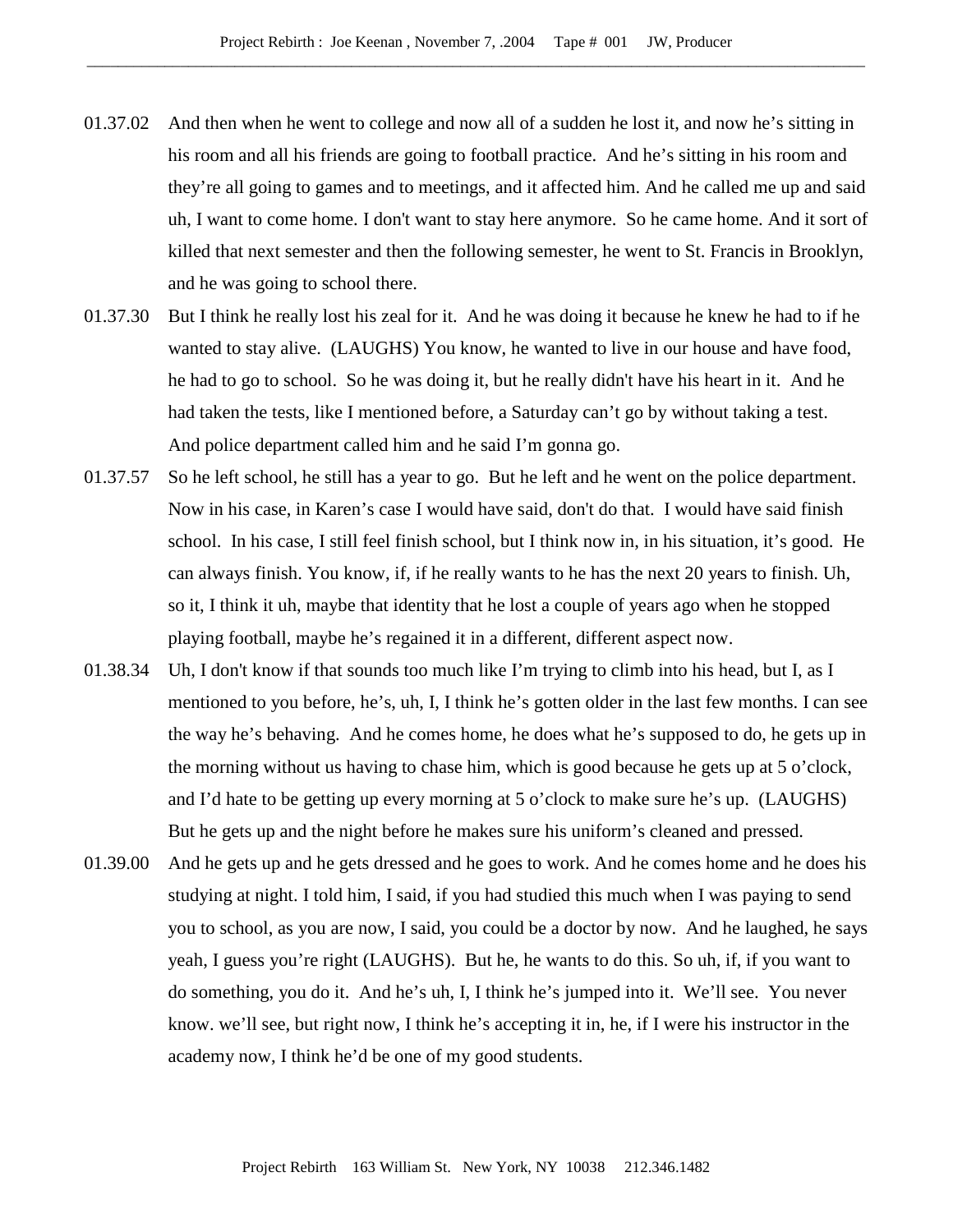- 01.37.02 And then when he went to college and now all of a sudden he lost it, and now he's sitting in his room and all his friends are going to football practice. And he's sitting in his room and they're all going to games and to meetings, and it affected him. And he called me up and said uh, I want to come home. I don't want to stay here anymore. So he came home. And it sort of killed that next semester and then the following semester, he went to St. Francis in Brooklyn, and he was going to school there.
- 01.37.30 But I think he really lost his zeal for it. And he was doing it because he knew he had to if he wanted to stay alive. (LAUGHS) You know, he wanted to live in our house and have food, he had to go to school. So he was doing it, but he really didn't have his heart in it. And he had taken the tests, like I mentioned before, a Saturday can't go by without taking a test. And police department called him and he said I'm gonna go.
- 01.37.57 So he left school, he still has a year to go. But he left and he went on the police department. Now in his case, in Karen's case I would have said, don't do that. I would have said finish school. In his case, I still feel finish school, but I think now in, in his situation, it's good. He can always finish. You know, if, if he really wants to he has the next 20 years to finish. Uh, so it, I think it uh, maybe that identity that he lost a couple of years ago when he stopped playing football, maybe he's regained it in a different, different aspect now.
- 01.38.34 Uh, I don't know if that sounds too much like I'm trying to climb into his head, but I, as I mentioned to you before, he's, uh, I, I think he's gotten older in the last few months. I can see the way he's behaving. And he comes home, he does what he's supposed to do, he gets up in the morning without us having to chase him, which is good because he gets up at 5 o'clock, and I'd hate to be getting up every morning at 5 o'clock to make sure he's up. (LAUGHS) But he gets up and the night before he makes sure his uniform's cleaned and pressed.
- 01.39.00 And he gets up and he gets dressed and he goes to work. And he comes home and he does his studying at night. I told him, I said, if you had studied this much when I was paying to send you to school, as you are now, I said, you could be a doctor by now. And he laughed, he says yeah, I guess you're right (LAUGHS). But he, he wants to do this. So uh, if, if you want to do something, you do it. And he's uh, I, I think he's jumped into it. We'll see. You never know. we'll see, but right now, I think he's accepting it in, he, if I were his instructor in the academy now, I think he'd be one of my good students.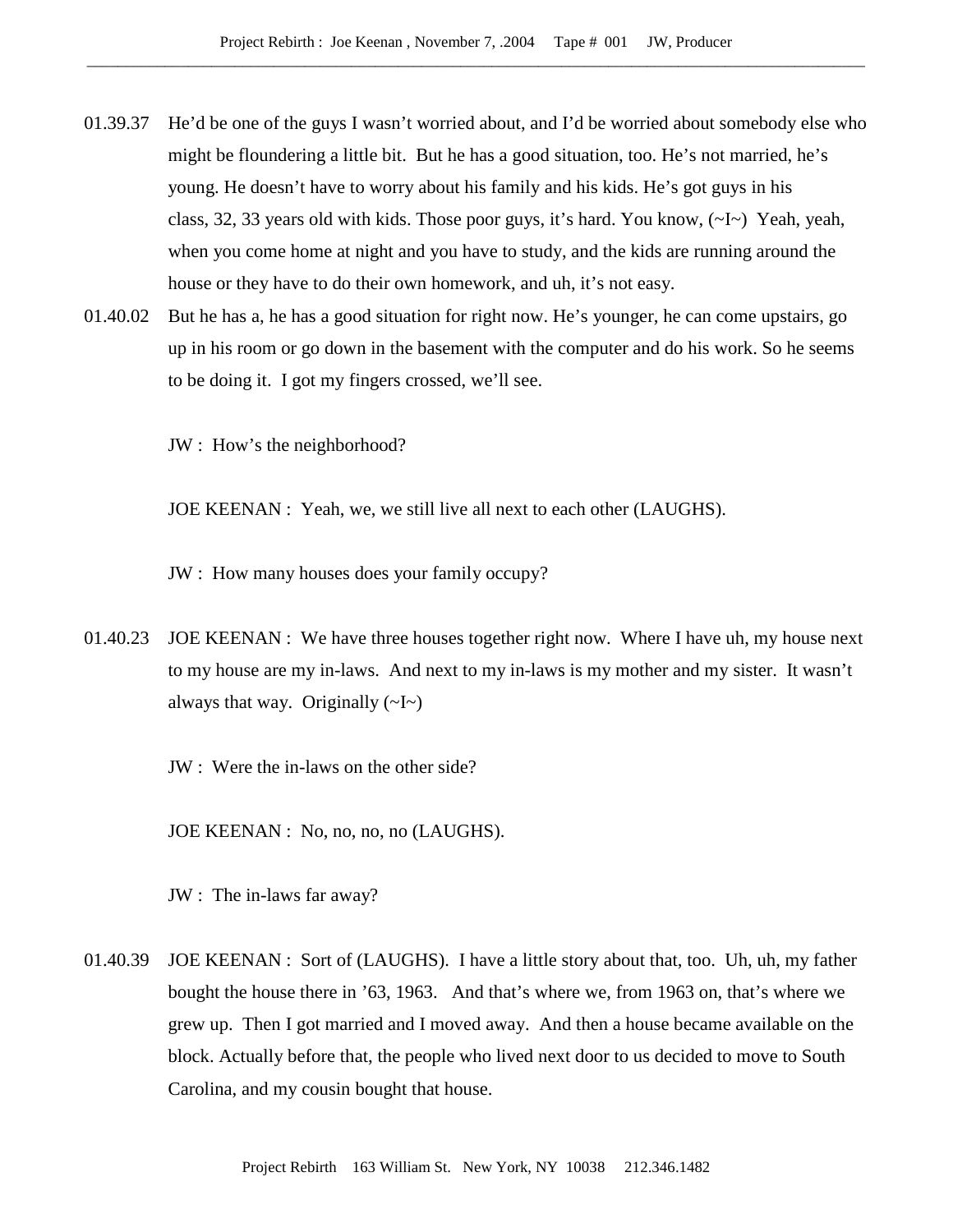- 01.39.37 He'd be one of the guys I wasn't worried about, and I'd be worried about somebody else who might be floundering a little bit. But he has a good situation, too. He's not married, he's young. He doesn't have to worry about his family and his kids. He's got guys in his class, 32, 33 years old with kids. Those poor guys, it's hard. You know,  $(\sim I \sim)$  Yeah, yeah, when you come home at night and you have to study, and the kids are running around the house or they have to do their own homework, and uh, it's not easy.
- 01.40.02 But he has a, he has a good situation for right now. He's younger, he can come upstairs, go up in his room or go down in the basement with the computer and do his work. So he seems to be doing it. I got my fingers crossed, we'll see.

JW : How's the neighborhood?

JOE KEENAN : Yeah, we, we still live all next to each other (LAUGHS).

JW : How many houses does your family occupy?

01.40.23 JOE KEENAN : We have three houses together right now. Where I have uh, my house next to my house are my in-laws. And next to my in-laws is my mother and my sister. It wasn't always that way. Originally  $(\sim I \sim)$ 

JW : Were the in-laws on the other side?

JOE KEENAN : No, no, no, no (LAUGHS).

JW : The in-laws far away?

01.40.39 JOE KEENAN : Sort of (LAUGHS). I have a little story about that, too. Uh, uh, my father bought the house there in '63, 1963. And that's where we, from 1963 on, that's where we grew up. Then I got married and I moved away. And then a house became available on the block. Actually before that, the people who lived next door to us decided to move to South Carolina, and my cousin bought that house.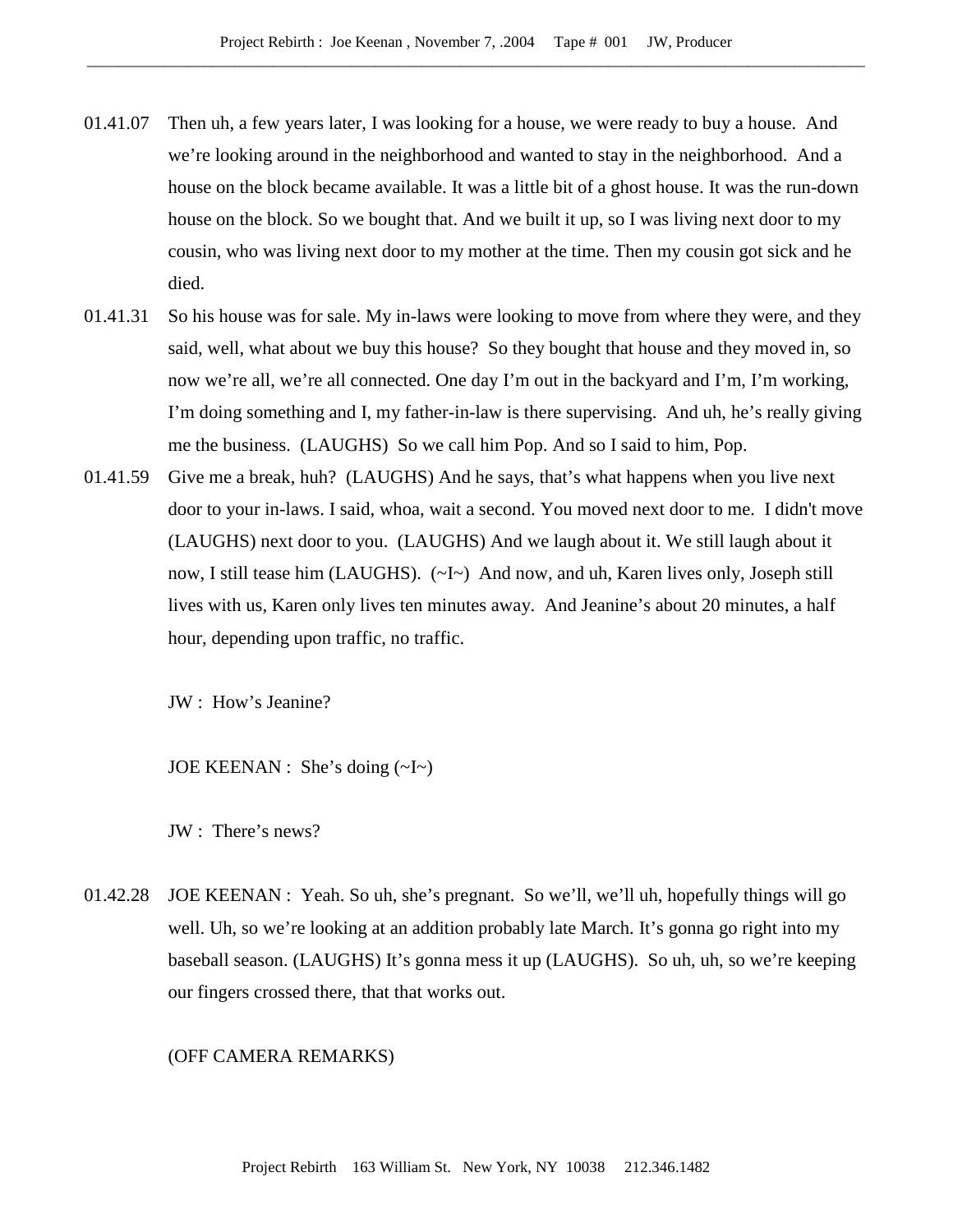- 01.41.07 Then uh, a few years later, I was looking for a house, we were ready to buy a house. And we're looking around in the neighborhood and wanted to stay in the neighborhood. And a house on the block became available. It was a little bit of a ghost house. It was the run-down house on the block. So we bought that. And we built it up, so I was living next door to my cousin, who was living next door to my mother at the time. Then my cousin got sick and he died.
- 01.41.31 So his house was for sale. My in-laws were looking to move from where they were, and they said, well, what about we buy this house? So they bought that house and they moved in, so now we're all, we're all connected. One day I'm out in the backyard and I'm, I'm working, I'm doing something and I, my father-in-law is there supervising. And uh, he's really giving me the business. (LAUGHS) So we call him Pop. And so I said to him, Pop.
- 01.41.59 Give me a break, huh? (LAUGHS) And he says, that's what happens when you live next door to your in-laws. I said, whoa, wait a second. You moved next door to me. I didn't move (LAUGHS) next door to you. (LAUGHS) And we laugh about it. We still laugh about it now, I still tease him (LAUGHS).  $(\sim I \sim)$  And now, and uh, Karen lives only, Joseph still lives with us, Karen only lives ten minutes away. And Jeanine's about 20 minutes, a half hour, depending upon traffic, no traffic.

JW : How's Jeanine?

JOE KEENAN : She's doing (~I~)

JW : There's news?

01.42.28 JOE KEENAN : Yeah. So uh, she's pregnant. So we'll, we'll uh, hopefully things will go well. Uh, so we're looking at an addition probably late March. It's gonna go right into my baseball season. (LAUGHS) It's gonna mess it up (LAUGHS). So uh, uh, so we're keeping our fingers crossed there, that that works out.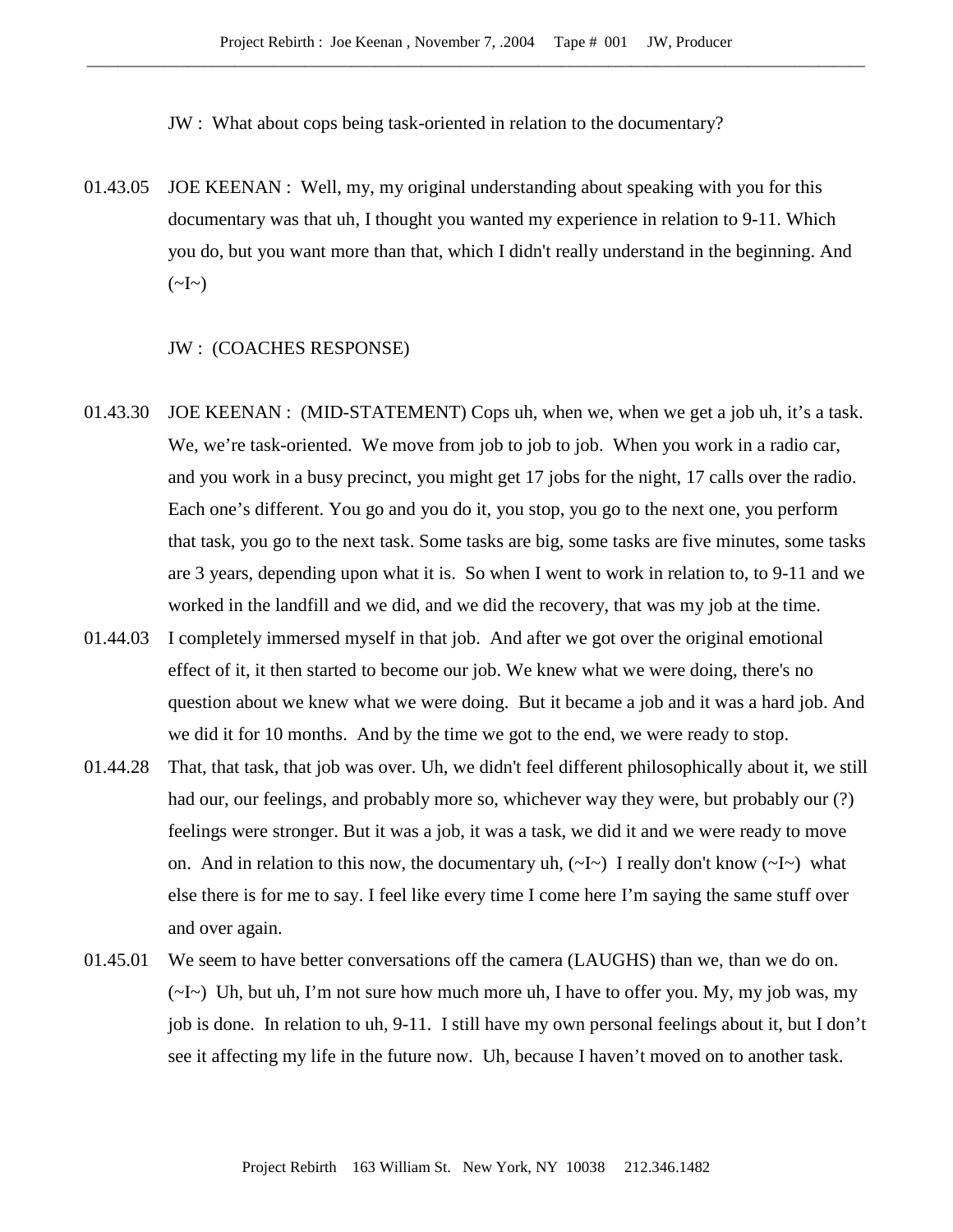JW : What about cops being task-oriented in relation to the documentary?

01.43.05 JOE KEENAN : Well, my, my original understanding about speaking with you for this documentary was that uh, I thought you wanted my experience in relation to 9-11. Which you do, but you want more than that, which I didn't really understand in the beginning. And  $(\sim]_{\sim}$ 

#### JW : (COACHES RESPONSE)

- 01.43.30 JOE KEENAN : (MID-STATEMENT) Cops uh, when we, when we get a job uh, it's a task. We, we're task-oriented. We move from job to job to job. When you work in a radio car, and you work in a busy precinct, you might get 17 jobs for the night, 17 calls over the radio. Each one's different. You go and you do it, you stop, you go to the next one, you perform that task, you go to the next task. Some tasks are big, some tasks are five minutes, some tasks are 3 years, depending upon what it is. So when I went to work in relation to, to 9-11 and we worked in the landfill and we did, and we did the recovery, that was my job at the time.
- 01.44.03 I completely immersed myself in that job. And after we got over the original emotional effect of it, it then started to become our job. We knew what we were doing, there's no question about we knew what we were doing. But it became a job and it was a hard job. And we did it for 10 months. And by the time we got to the end, we were ready to stop.
- 01.44.28 That, that task, that job was over. Uh, we didn't feel different philosophically about it, we still had our, our feelings, and probably more so, whichever way they were, but probably our (?) feelings were stronger. But it was a job, it was a task, we did it and we were ready to move on. And in relation to this now, the documentary uh,  $(\sim I \sim)$  I really don't know  $(\sim I \sim)$  what else there is for me to say. I feel like every time I come here I'm saying the same stuff over and over again.
- 01.45.01 We seem to have better conversations off the camera (LAUGHS) than we, than we do on.  $(\sim I \sim)$  Uh, but uh, I'm not sure how much more uh, I have to offer you. My, my job was, my job is done. In relation to uh, 9-11. I still have my own personal feelings about it, but I don't see it affecting my life in the future now. Uh, because I haven't moved on to another task.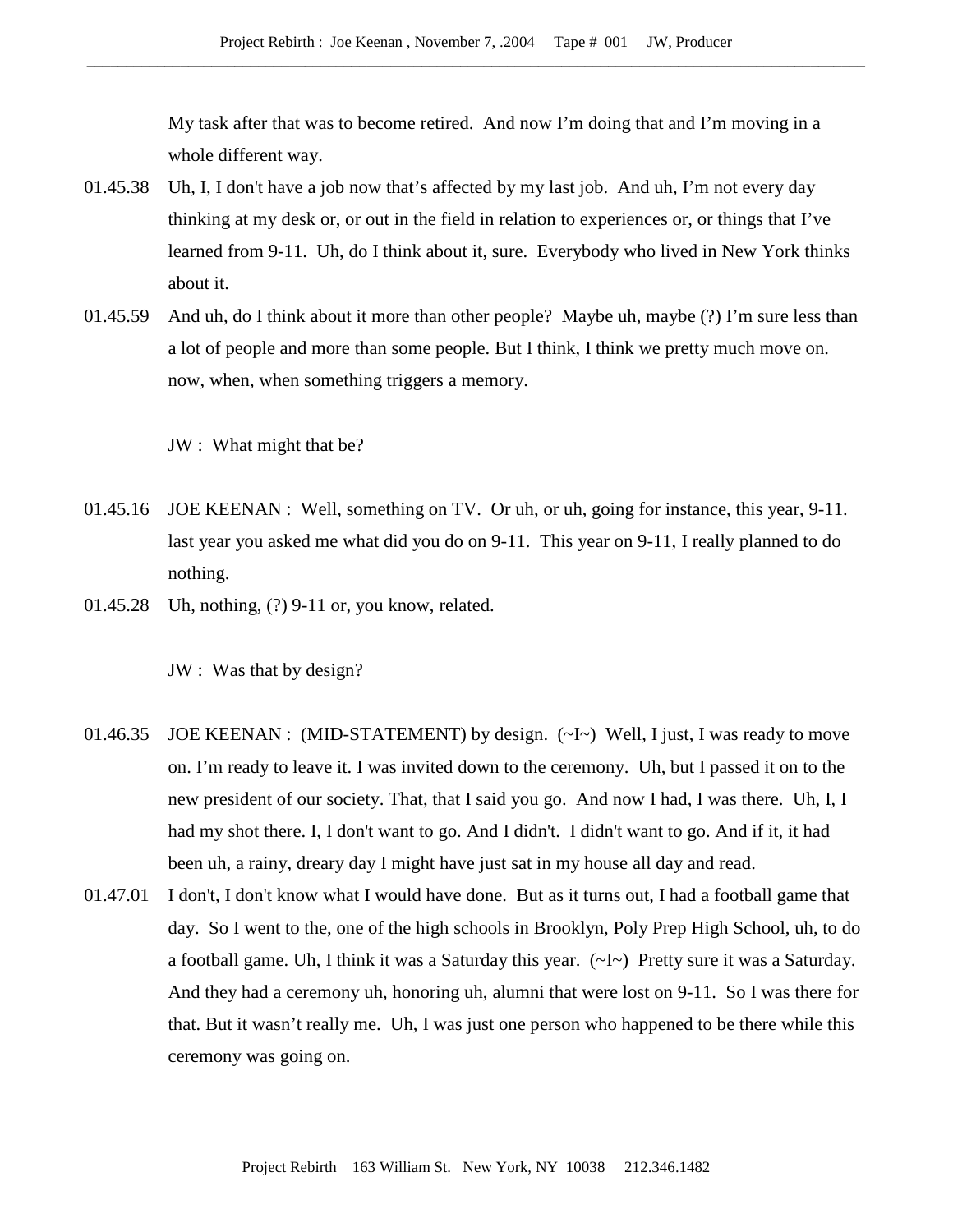My task after that was to become retired. And now I'm doing that and I'm moving in a whole different way.

- 01.45.38 Uh, I, I don't have a job now that's affected by my last job. And uh, I'm not every day thinking at my desk or, or out in the field in relation to experiences or, or things that I've learned from 9-11. Uh, do I think about it, sure. Everybody who lived in New York thinks about it.
- 01.45.59 And uh, do I think about it more than other people? Maybe uh, maybe (?) I'm sure less than a lot of people and more than some people. But I think, I think we pretty much move on. now, when, when something triggers a memory.

JW : What might that be?

- 01.45.16 JOE KEENAN : Well, something on TV. Or uh, or uh, going for instance, this year, 9-11. last year you asked me what did you do on 9-11. This year on 9-11, I really planned to do nothing.
- 01.45.28 Uh, nothing, (?) 9-11 or, you know, related.

JW : Was that by design?

- 01.46.35 JOE KEENAN : (MID-STATEMENT) by design. (~I~) Well, I just, I was ready to move on. I'm ready to leave it. I was invited down to the ceremony. Uh, but I passed it on to the new president of our society. That, that I said you go. And now I had, I was there. Uh, I, I had my shot there. I, I don't want to go. And I didn't. I didn't want to go. And if it, it had been uh, a rainy, dreary day I might have just sat in my house all day and read.
- 01.47.01 I don't, I don't know what I would have done. But as it turns out, I had a football game that day. So I went to the, one of the high schools in Brooklyn, Poly Prep High School, uh, to do a football game. Uh, I think it was a Saturday this year. (~I~) Pretty sure it was a Saturday. And they had a ceremony uh, honoring uh, alumni that were lost on 9-11. So I was there for that. But it wasn't really me. Uh, I was just one person who happened to be there while this ceremony was going on.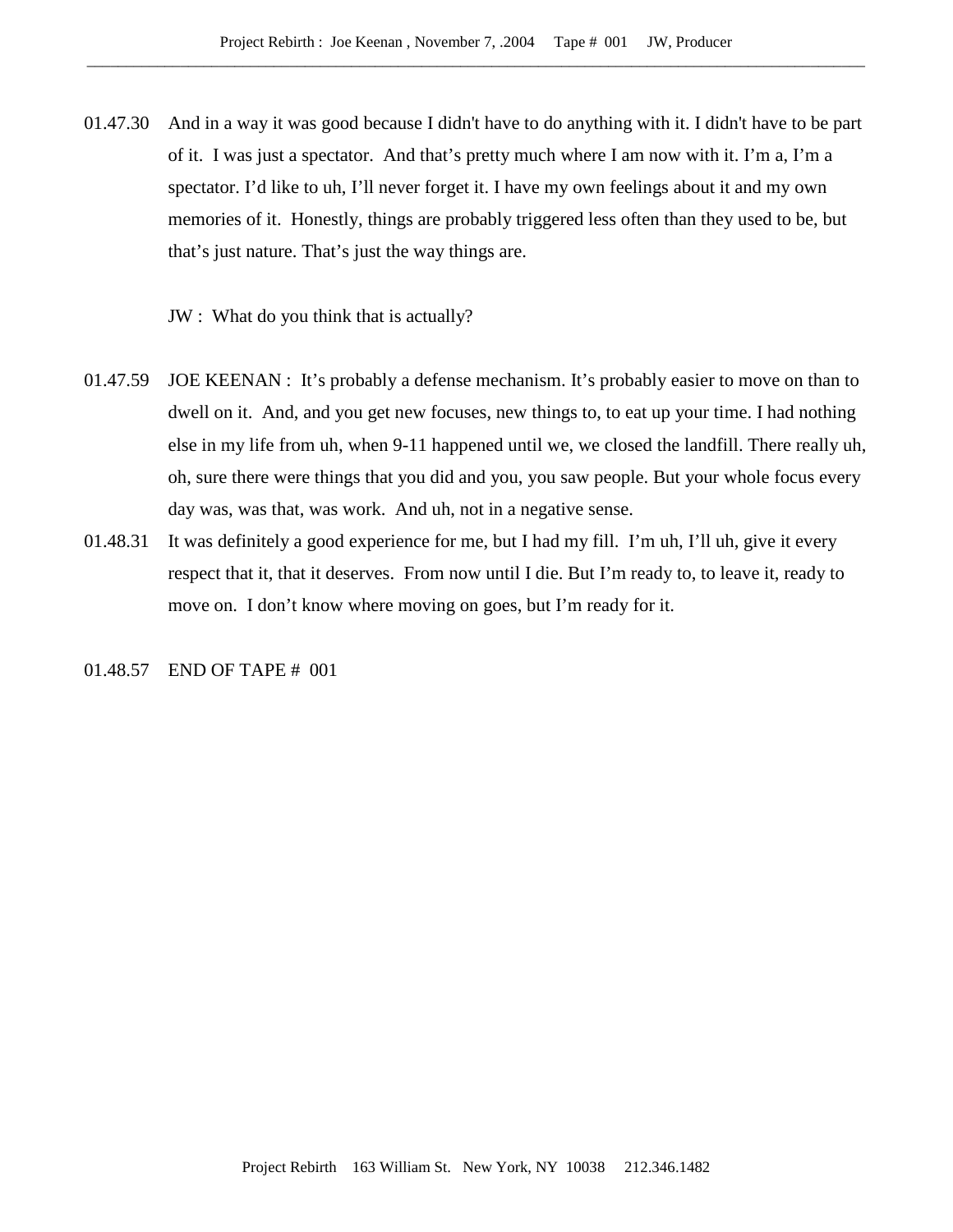01.47.30 And in a way it was good because I didn't have to do anything with it. I didn't have to be part of it. I was just a spectator. And that's pretty much where I am now with it. I'm a, I'm a spectator. I'd like to uh, I'll never forget it. I have my own feelings about it and my own memories of it. Honestly, things are probably triggered less often than they used to be, but that's just nature. That's just the way things are.

JW : What do you think that is actually?

- 01.47.59 JOE KEENAN : It's probably a defense mechanism. It's probably easier to move on than to dwell on it. And, and you get new focuses, new things to, to eat up your time. I had nothing else in my life from uh, when 9-11 happened until we, we closed the landfill. There really uh, oh, sure there were things that you did and you, you saw people. But your whole focus every day was, was that, was work. And uh, not in a negative sense.
- 01.48.31 It was definitely a good experience for me, but I had my fill. I'm uh, I'll uh, give it every respect that it, that it deserves. From now until I die. But I'm ready to, to leave it, ready to move on. I don't know where moving on goes, but I'm ready for it.

# 01.48.57 END OF TAPE # 001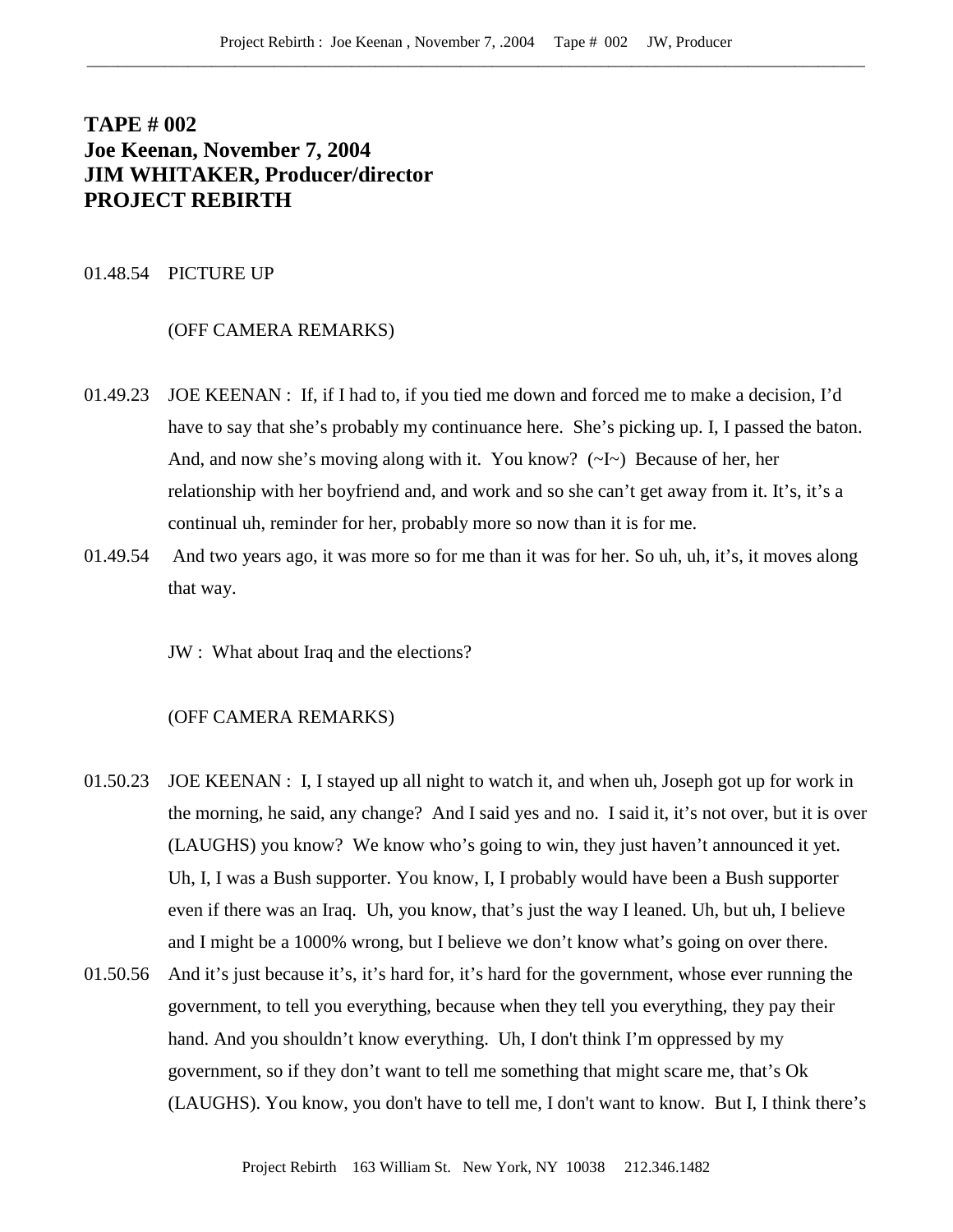# **TAPE # 002 Joe Keenan, November 7, 2004 JIM WHITAKER, Producer/director PROJECT REBIRTH**

## 01.48.54 PICTURE UP

#### (OFF CAMERA REMARKS)

- 01.49.23 JOE KEENAN : If, if I had to, if you tied me down and forced me to make a decision, I'd have to say that she's probably my continuance here. She's picking up. I, I passed the baton. And, and now she's moving along with it. You know?  $(\sim I \sim)$  Because of her, her relationship with her boyfriend and, and work and so she can't get away from it. It's, it's a continual uh, reminder for her, probably more so now than it is for me.
- 01.49.54 And two years ago, it was more so for me than it was for her. So uh, uh, it's, it moves along that way.

JW : What about Iraq and the elections?

- 01.50.23 JOE KEENAN : I, I stayed up all night to watch it, and when uh, Joseph got up for work in the morning, he said, any change? And I said yes and no. I said it, it's not over, but it is over (LAUGHS) you know? We know who's going to win, they just haven't announced it yet. Uh, I, I was a Bush supporter. You know, I, I probably would have been a Bush supporter even if there was an Iraq. Uh, you know, that's just the way I leaned. Uh, but uh, I believe and I might be a 1000% wrong, but I believe we don't know what's going on over there.
- 01.50.56 And it's just because it's, it's hard for, it's hard for the government, whose ever running the government, to tell you everything, because when they tell you everything, they pay their hand. And you shouldn't know everything. Uh, I don't think I'm oppressed by my government, so if they don't want to tell me something that might scare me, that's Ok (LAUGHS). You know, you don't have to tell me, I don't want to know. But I, I think there's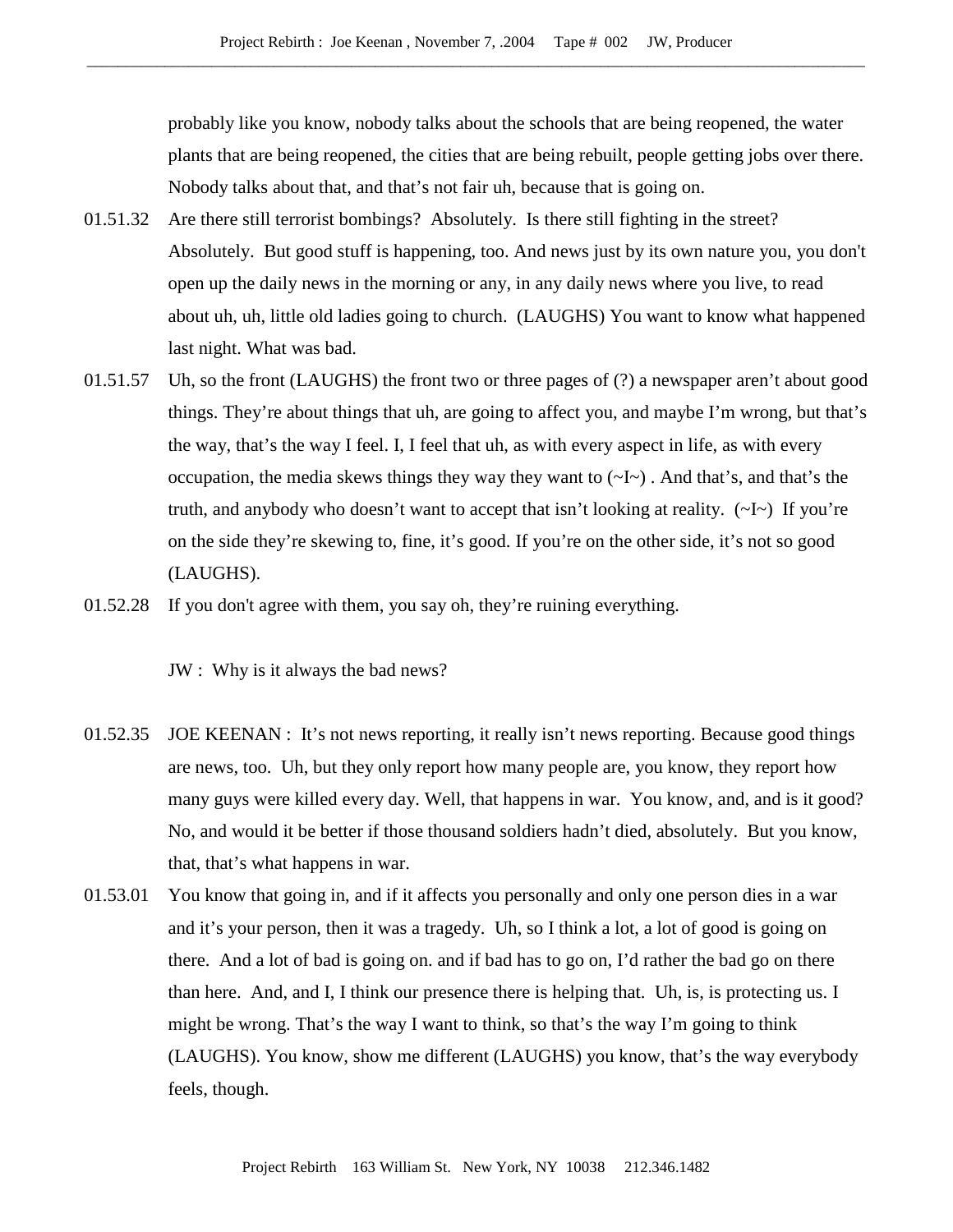probably like you know, nobody talks about the schools that are being reopened, the water plants that are being reopened, the cities that are being rebuilt, people getting jobs over there. Nobody talks about that, and that's not fair uh, because that is going on.

- 01.51.32 Are there still terrorist bombings? Absolutely. Is there still fighting in the street? Absolutely. But good stuff is happening, too. And news just by its own nature you, you don't open up the daily news in the morning or any, in any daily news where you live, to read about uh, uh, little old ladies going to church. (LAUGHS) You want to know what happened last night. What was bad.
- 01.51.57 Uh, so the front (LAUGHS) the front two or three pages of (?) a newspaper aren't about good things. They're about things that uh, are going to affect you, and maybe I'm wrong, but that's the way, that's the way I feel. I, I feel that uh, as with every aspect in life, as with every occupation, the media skews things they way they want to  $(\sim I \sim)$ . And that's, and that's the truth, and anybody who doesn't want to accept that isn't looking at reality. (~I~) If you're on the side they're skewing to, fine, it's good. If you're on the other side, it's not so good (LAUGHS).
- 01.52.28 If you don't agree with them, you say oh, they're ruining everything.

JW : Why is it always the bad news?

- 01.52.35 JOE KEENAN : It's not news reporting, it really isn't news reporting. Because good things are news, too. Uh, but they only report how many people are, you know, they report how many guys were killed every day. Well, that happens in war. You know, and, and is it good? No, and would it be better if those thousand soldiers hadn't died, absolutely. But you know, that, that's what happens in war.
- 01.53.01 You know that going in, and if it affects you personally and only one person dies in a war and it's your person, then it was a tragedy. Uh, so I think a lot, a lot of good is going on there. And a lot of bad is going on. and if bad has to go on, I'd rather the bad go on there than here. And, and I, I think our presence there is helping that. Uh, is, is protecting us. I might be wrong. That's the way I want to think, so that's the way I'm going to think (LAUGHS). You know, show me different (LAUGHS) you know, that's the way everybody feels, though.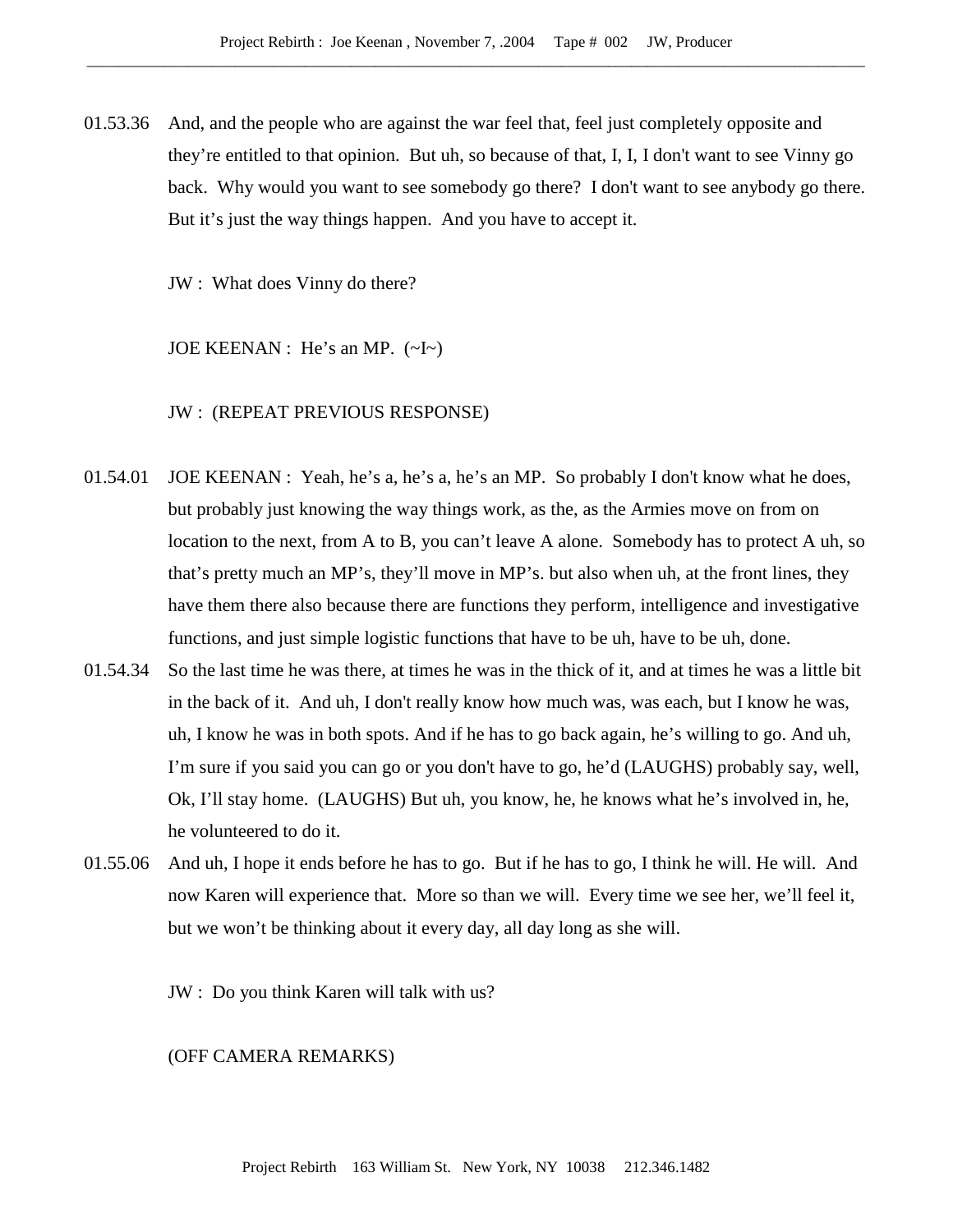01.53.36 And, and the people who are against the war feel that, feel just completely opposite and they're entitled to that opinion. But uh, so because of that, I, I, I don't want to see Vinny go back. Why would you want to see somebody go there? I don't want to see anybody go there. But it's just the way things happen. And you have to accept it.

JW : What does Vinny do there?

JOE KEENAN : He's an MP. (~I~)

JW : (REPEAT PREVIOUS RESPONSE)

- 01.54.01 JOE KEENAN : Yeah, he's a, he's a, he's an MP. So probably I don't know what he does, but probably just knowing the way things work, as the, as the Armies move on from on location to the next, from A to B, you can't leave A alone. Somebody has to protect A uh, so that's pretty much an MP's, they'll move in MP's. but also when uh, at the front lines, they have them there also because there are functions they perform, intelligence and investigative functions, and just simple logistic functions that have to be uh, have to be uh, done.
- 01.54.34 So the last time he was there, at times he was in the thick of it, and at times he was a little bit in the back of it. And uh, I don't really know how much was, was each, but I know he was, uh, I know he was in both spots. And if he has to go back again, he's willing to go. And uh, I'm sure if you said you can go or you don't have to go, he'd (LAUGHS) probably say, well, Ok, I'll stay home. (LAUGHS) But uh, you know, he, he knows what he's involved in, he, he volunteered to do it.
- 01.55.06 And uh, I hope it ends before he has to go. But if he has to go, I think he will. He will. And now Karen will experience that. More so than we will. Every time we see her, we'll feel it, but we won't be thinking about it every day, all day long as she will.

JW : Do you think Karen will talk with us?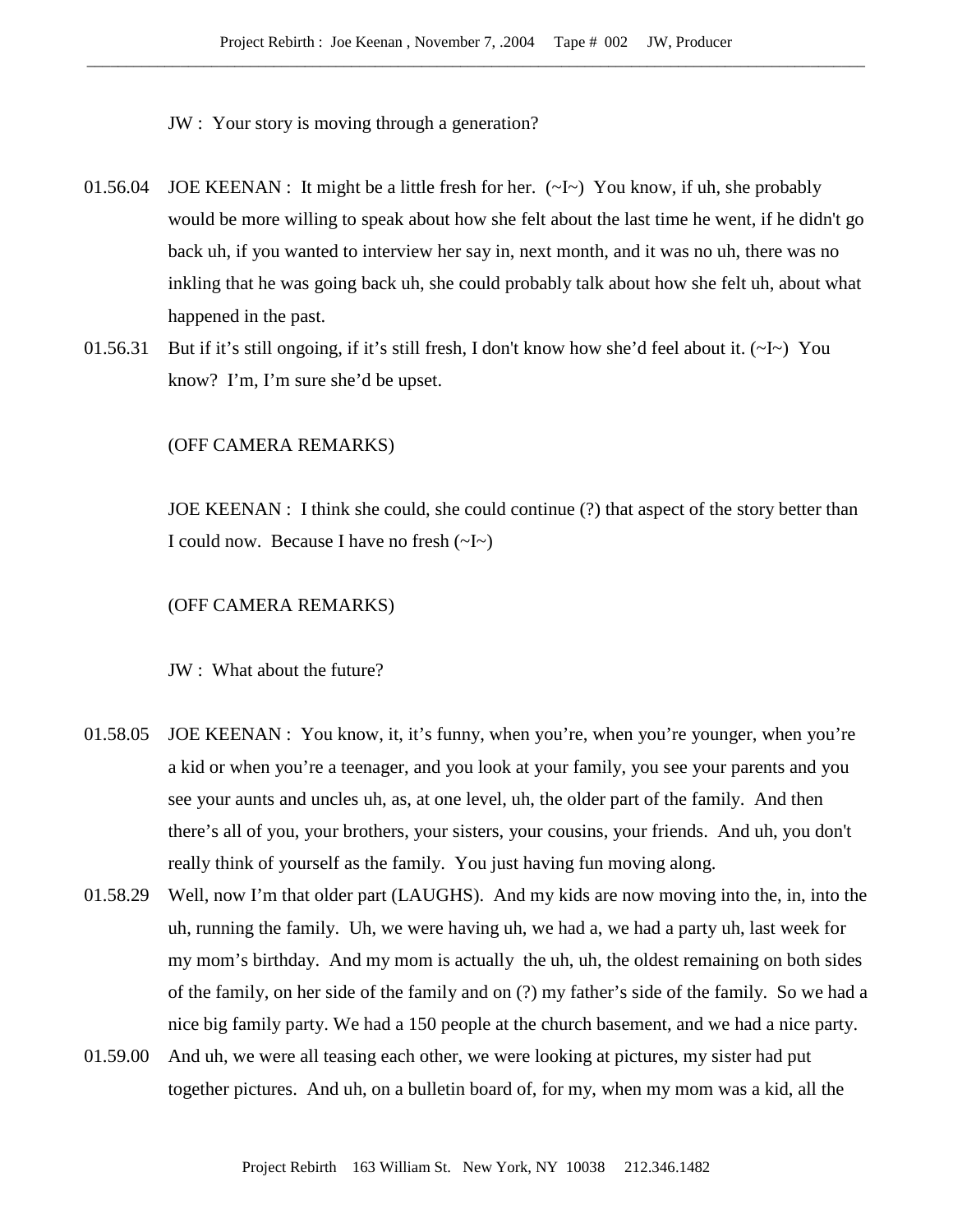JW : Your story is moving through a generation?

- 01.56.04 JOE KEENAN : It might be a little fresh for her.  $(\sim I \sim)$  You know, if uh, she probably would be more willing to speak about how she felt about the last time he went, if he didn't go back uh, if you wanted to interview her say in, next month, and it was no uh, there was no inkling that he was going back uh, she could probably talk about how she felt uh, about what happened in the past.
- 01.56.31 But if it's still ongoing, if it's still fresh, I don't know how she'd feel about it.  $(\sim I \sim)$  You know? I'm, I'm sure she'd be upset.

# (OFF CAMERA REMARKS)

JOE KEENAN : I think she could, she could continue (?) that aspect of the story better than I could now. Because I have no fresh  $(\sim I \sim)$ 

#### (OFF CAMERA REMARKS)

JW : What about the future?

- 01.58.05 JOE KEENAN : You know, it, it's funny, when you're, when you're younger, when you're a kid or when you're a teenager, and you look at your family, you see your parents and you see your aunts and uncles uh, as, at one level, uh, the older part of the family. And then there's all of you, your brothers, your sisters, your cousins, your friends. And uh, you don't really think of yourself as the family. You just having fun moving along.
- 01.58.29 Well, now I'm that older part (LAUGHS). And my kids are now moving into the, in, into the uh, running the family. Uh, we were having uh, we had a, we had a party uh, last week for my mom's birthday. And my mom is actually the uh, uh, the oldest remaining on both sides of the family, on her side of the family and on (?) my father's side of the family. So we had a nice big family party. We had a 150 people at the church basement, and we had a nice party.
- 01.59.00 And uh, we were all teasing each other, we were looking at pictures, my sister had put together pictures. And uh, on a bulletin board of, for my, when my mom was a kid, all the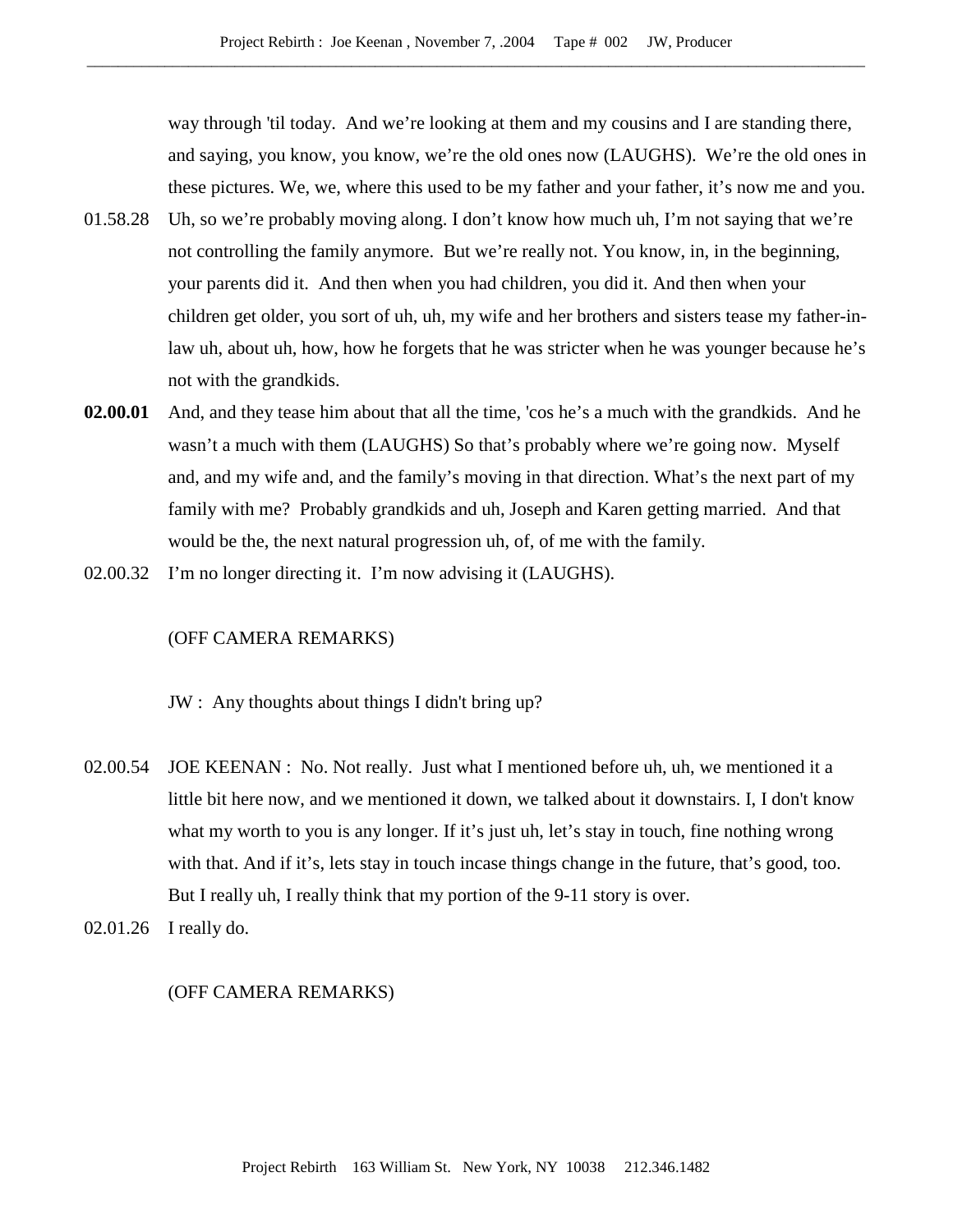way through 'til today. And we're looking at them and my cousins and I are standing there, and saying, you know, you know, we're the old ones now (LAUGHS). We're the old ones in these pictures. We, we, where this used to be my father and your father, it's now me and you.

- 01.58.28 Uh, so we're probably moving along. I don't know how much uh, I'm not saying that we're not controlling the family anymore. But we're really not. You know, in, in the beginning, your parents did it. And then when you had children, you did it. And then when your children get older, you sort of uh, uh, my wife and her brothers and sisters tease my father-inlaw uh, about uh, how, how he forgets that he was stricter when he was younger because he's not with the grandkids.
- **02.00.01** And, and they tease him about that all the time, 'cos he's a much with the grandkids. And he wasn't a much with them (LAUGHS) So that's probably where we're going now. Myself and, and my wife and, and the family's moving in that direction. What's the next part of my family with me? Probably grandkids and uh, Joseph and Karen getting married. And that would be the, the next natural progression uh, of, of me with the family.
- 02.00.32 I'm no longer directing it. I'm now advising it (LAUGHS).

#### (OFF CAMERA REMARKS)

JW : Any thoughts about things I didn't bring up?

- 02.00.54 JOE KEENAN : No. Not really. Just what I mentioned before uh, uh, we mentioned it a little bit here now, and we mentioned it down, we talked about it downstairs. I, I don't know what my worth to you is any longer. If it's just uh, let's stay in touch, fine nothing wrong with that. And if it's, lets stay in touch incase things change in the future, that's good, too. But I really uh, I really think that my portion of the 9-11 story is over.
- 02.01.26 I really do.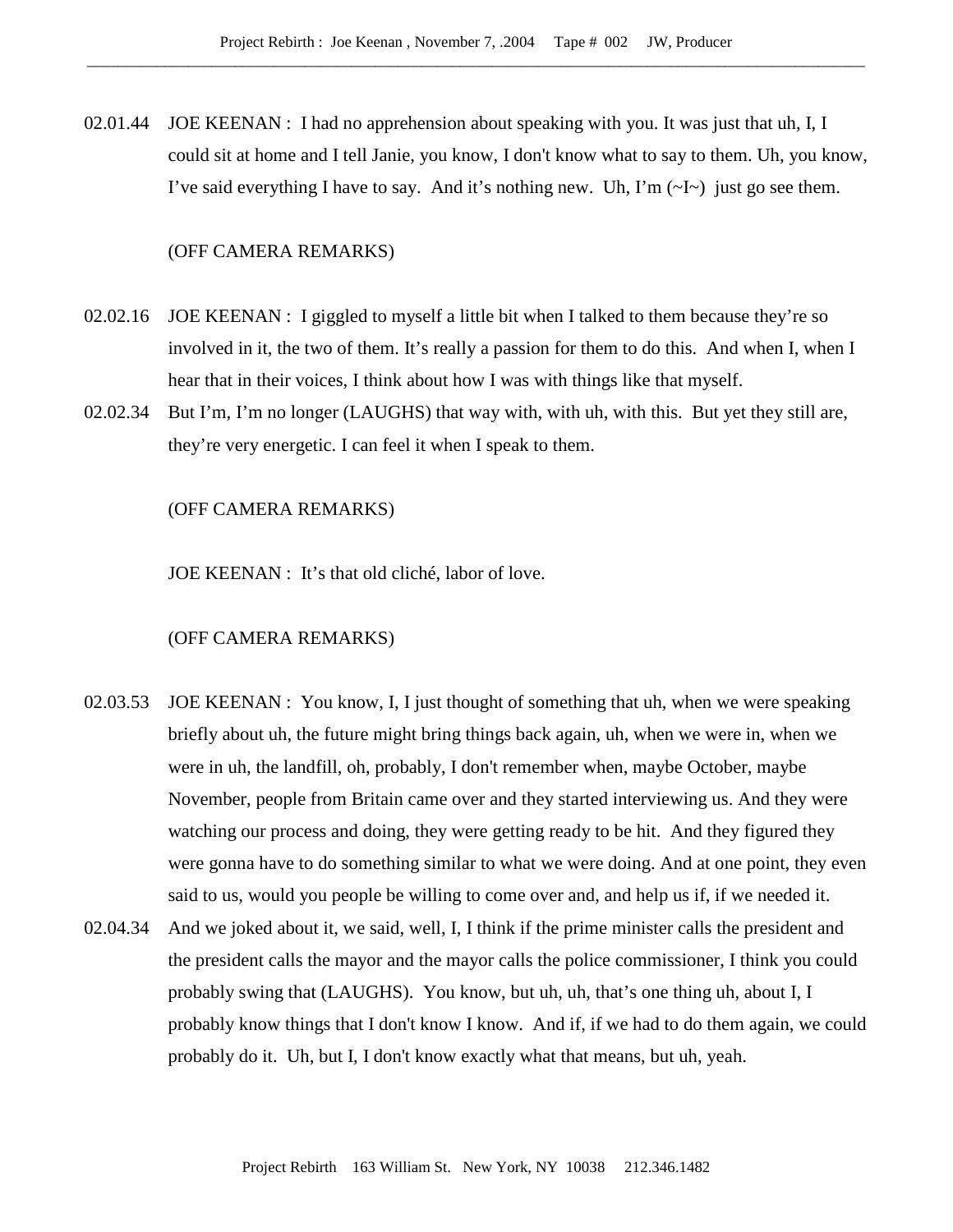02.01.44 JOE KEENAN : I had no apprehension about speaking with you. It was just that uh, I, I could sit at home and I tell Janie, you know, I don't know what to say to them. Uh, you know, I've said everything I have to say. And it's nothing new. Uh, I'm  $(\sim I \sim)$  just go see them.

# (OFF CAMERA REMARKS)

- 02.02.16 JOE KEENAN : I giggled to myself a little bit when I talked to them because they're so involved in it, the two of them. It's really a passion for them to do this. And when I, when I hear that in their voices, I think about how I was with things like that myself.
- 02.02.34 But I'm, I'm no longer (LAUGHS) that way with, with uh, with this. But yet they still are, they're very energetic. I can feel it when I speak to them.

#### (OFF CAMERA REMARKS)

JOE KEENAN : It's that old cliché, labor of love.

- 02.03.53 JOE KEENAN : You know, I, I just thought of something that uh, when we were speaking briefly about uh, the future might bring things back again, uh, when we were in, when we were in uh, the landfill, oh, probably, I don't remember when, maybe October, maybe November, people from Britain came over and they started interviewing us. And they were watching our process and doing, they were getting ready to be hit. And they figured they were gonna have to do something similar to what we were doing. And at one point, they even said to us, would you people be willing to come over and, and help us if, if we needed it.
- 02.04.34 And we joked about it, we said, well, I, I think if the prime minister calls the president and the president calls the mayor and the mayor calls the police commissioner, I think you could probably swing that (LAUGHS). You know, but uh, uh, that's one thing uh, about I, I probably know things that I don't know I know. And if, if we had to do them again, we could probably do it. Uh, but I, I don't know exactly what that means, but uh, yeah.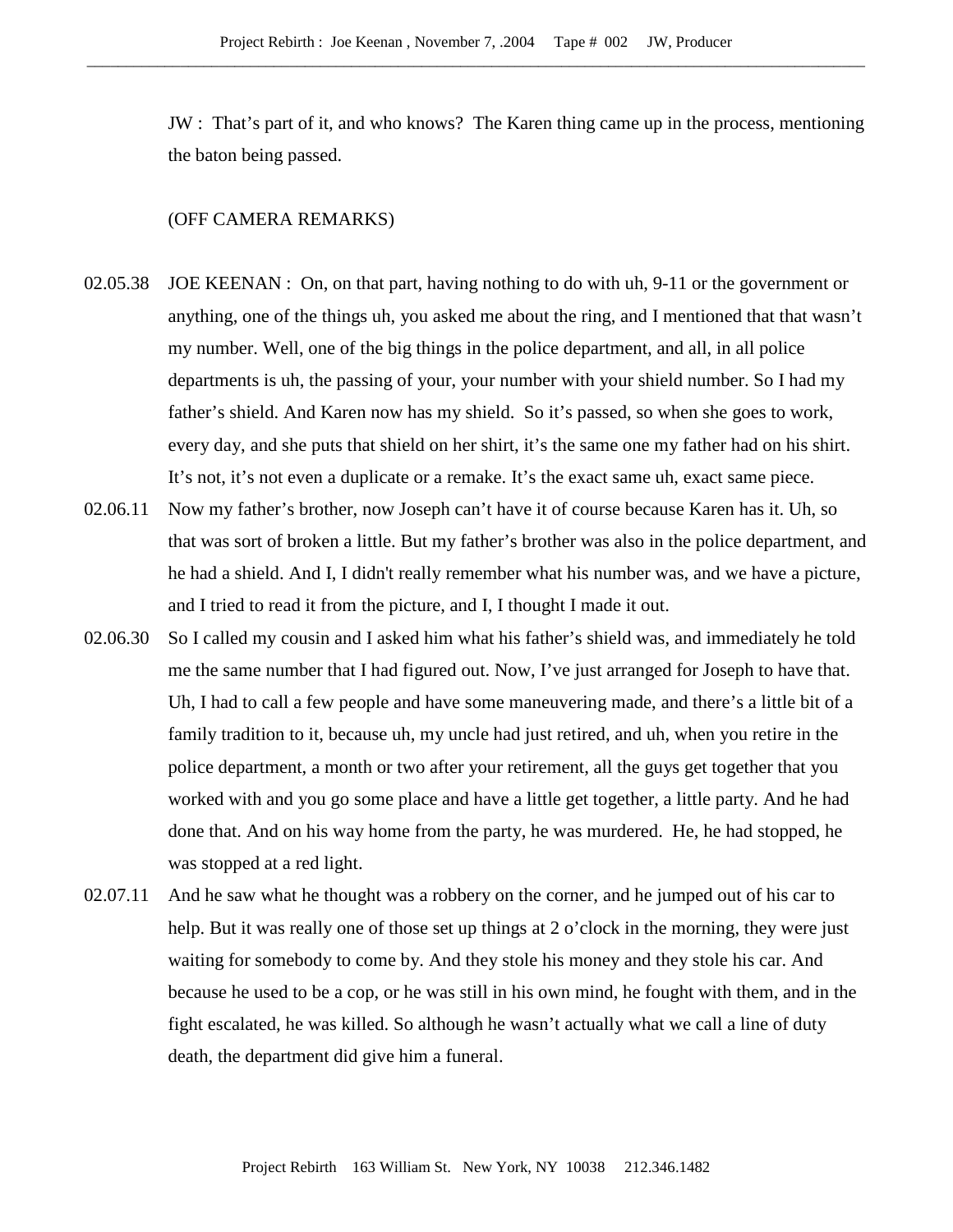JW : That's part of it, and who knows? The Karen thing came up in the process, mentioning the baton being passed.

- 02.05.38 JOE KEENAN : On, on that part, having nothing to do with uh, 9-11 or the government or anything, one of the things uh, you asked me about the ring, and I mentioned that that wasn't my number. Well, one of the big things in the police department, and all, in all police departments is uh, the passing of your, your number with your shield number. So I had my father's shield. And Karen now has my shield. So it's passed, so when she goes to work, every day, and she puts that shield on her shirt, it's the same one my father had on his shirt. It's not, it's not even a duplicate or a remake. It's the exact same uh, exact same piece.
- 02.06.11 Now my father's brother, now Joseph can't have it of course because Karen has it. Uh, so that was sort of broken a little. But my father's brother was also in the police department, and he had a shield. And I, I didn't really remember what his number was, and we have a picture, and I tried to read it from the picture, and I, I thought I made it out.
- 02.06.30 So I called my cousin and I asked him what his father's shield was, and immediately he told me the same number that I had figured out. Now, I've just arranged for Joseph to have that. Uh, I had to call a few people and have some maneuvering made, and there's a little bit of a family tradition to it, because uh, my uncle had just retired, and uh, when you retire in the police department, a month or two after your retirement, all the guys get together that you worked with and you go some place and have a little get together, a little party. And he had done that. And on his way home from the party, he was murdered. He, he had stopped, he was stopped at a red light.
- 02.07.11 And he saw what he thought was a robbery on the corner, and he jumped out of his car to help. But it was really one of those set up things at 2 o'clock in the morning, they were just waiting for somebody to come by. And they stole his money and they stole his car. And because he used to be a cop, or he was still in his own mind, he fought with them, and in the fight escalated, he was killed. So although he wasn't actually what we call a line of duty death, the department did give him a funeral.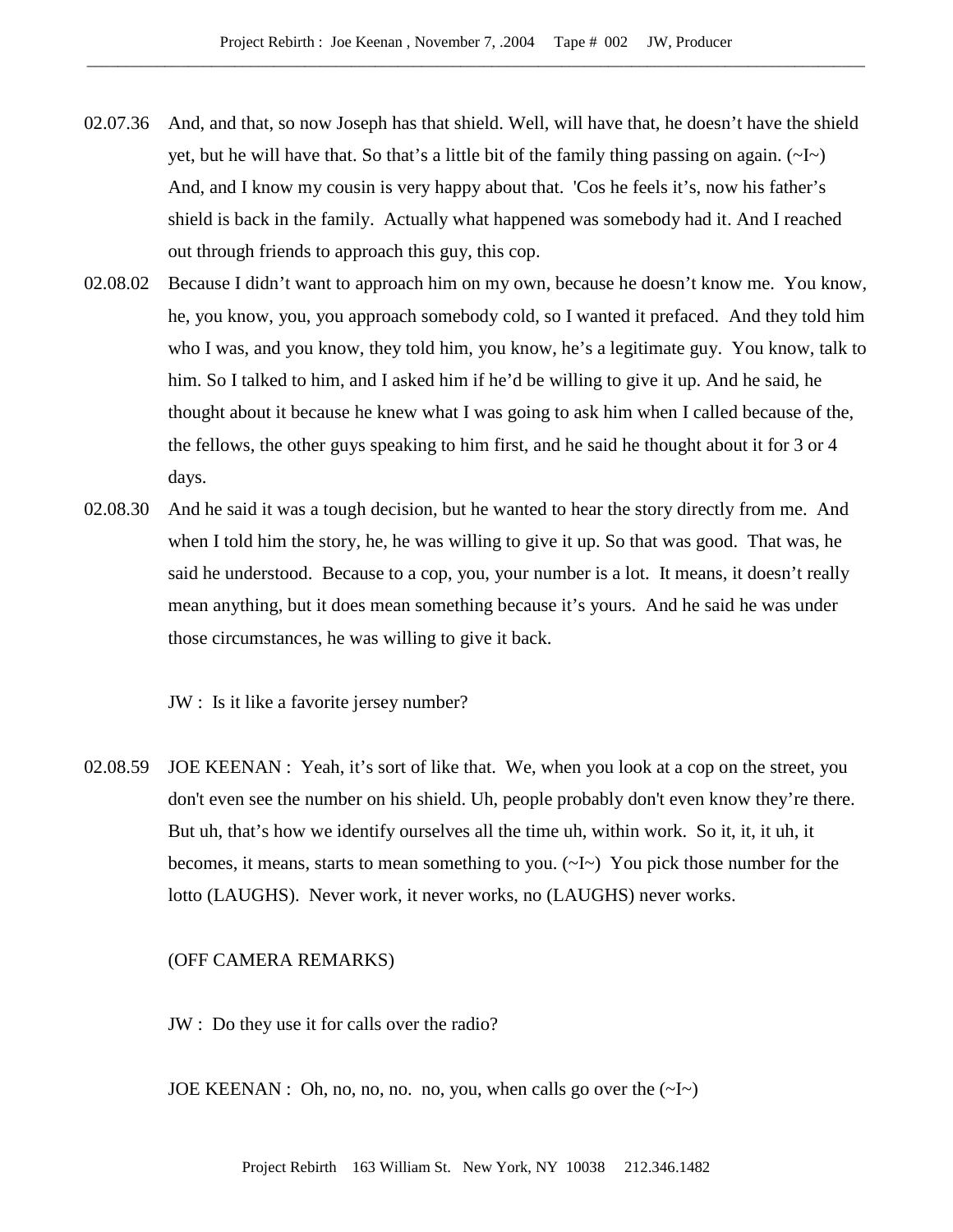- 02.07.36 And, and that, so now Joseph has that shield. Well, will have that, he doesn't have the shield yet, but he will have that. So that's a little bit of the family thing passing on again.  $(\sim I \sim)$ And, and I know my cousin is very happy about that. 'Cos he feels it's, now his father's shield is back in the family. Actually what happened was somebody had it. And I reached out through friends to approach this guy, this cop.
- 02.08.02 Because I didn't want to approach him on my own, because he doesn't know me. You know, he, you know, you, you approach somebody cold, so I wanted it prefaced. And they told him who I was, and you know, they told him, you know, he's a legitimate guy. You know, talk to him. So I talked to him, and I asked him if he'd be willing to give it up. And he said, he thought about it because he knew what I was going to ask him when I called because of the, the fellows, the other guys speaking to him first, and he said he thought about it for 3 or 4 days.
- 02.08.30 And he said it was a tough decision, but he wanted to hear the story directly from me. And when I told him the story, he, he was willing to give it up. So that was good. That was, he said he understood. Because to a cop, you, your number is a lot. It means, it doesn't really mean anything, but it does mean something because it's yours. And he said he was under those circumstances, he was willing to give it back.

JW : Is it like a favorite jersey number?

02.08.59 JOE KEENAN : Yeah, it's sort of like that. We, when you look at a cop on the street, you don't even see the number on his shield. Uh, people probably don't even know they're there. But uh, that's how we identify ourselves all the time uh, within work. So it, it, it uh, it becomes, it means, starts to mean something to you. (~I~) You pick those number for the lotto (LAUGHS). Never work, it never works, no (LAUGHS) never works.

### (OFF CAMERA REMARKS)

JW : Do they use it for calls over the radio?

JOE KEENAN : Oh, no, no, no. no, you, when calls go over the  $(\sim] \sim$ )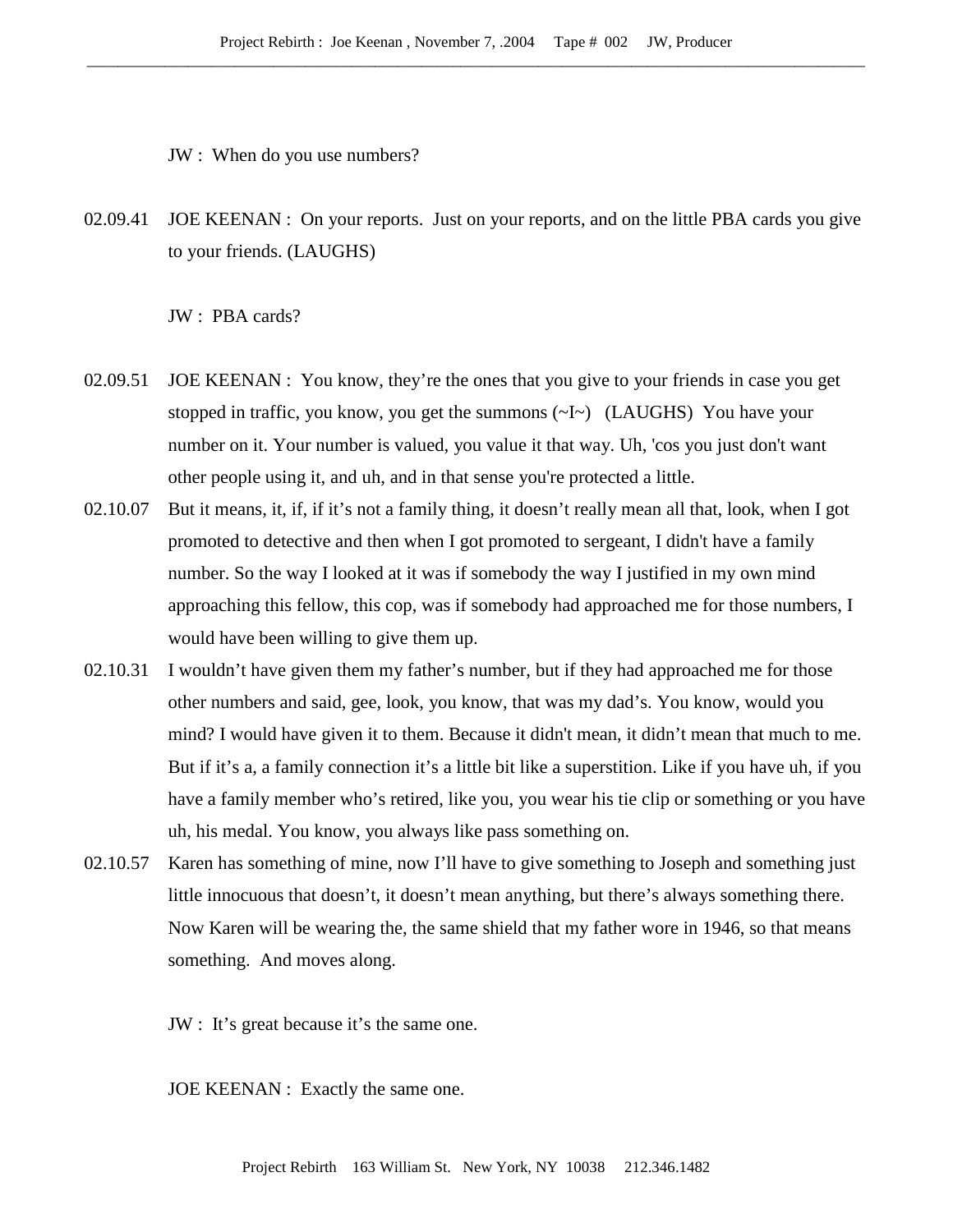JW : When do you use numbers?

02.09.41 JOE KEENAN : On your reports. Just on your reports, and on the little PBA cards you give to your friends. (LAUGHS)

JW : PBA cards?

- 02.09.51 JOE KEENAN : You know, they're the ones that you give to your friends in case you get stopped in traffic, you know, you get the summons (~I~) (LAUGHS) You have your number on it. Your number is valued, you value it that way. Uh, 'cos you just don't want other people using it, and uh, and in that sense you're protected a little.
- 02.10.07 But it means, it, if, if it's not a family thing, it doesn't really mean all that, look, when I got promoted to detective and then when I got promoted to sergeant, I didn't have a family number. So the way I looked at it was if somebody the way I justified in my own mind approaching this fellow, this cop, was if somebody had approached me for those numbers, I would have been willing to give them up.
- 02.10.31 I wouldn't have given them my father's number, but if they had approached me for those other numbers and said, gee, look, you know, that was my dad's. You know, would you mind? I would have given it to them. Because it didn't mean, it didn't mean that much to me. But if it's a, a family connection it's a little bit like a superstition. Like if you have uh, if you have a family member who's retired, like you, you wear his tie clip or something or you have uh, his medal. You know, you always like pass something on.
- 02.10.57 Karen has something of mine, now I'll have to give something to Joseph and something just little innocuous that doesn't, it doesn't mean anything, but there's always something there. Now Karen will be wearing the, the same shield that my father wore in 1946, so that means something. And moves along.
	- JW : It's great because it's the same one.

JOE KEENAN : Exactly the same one.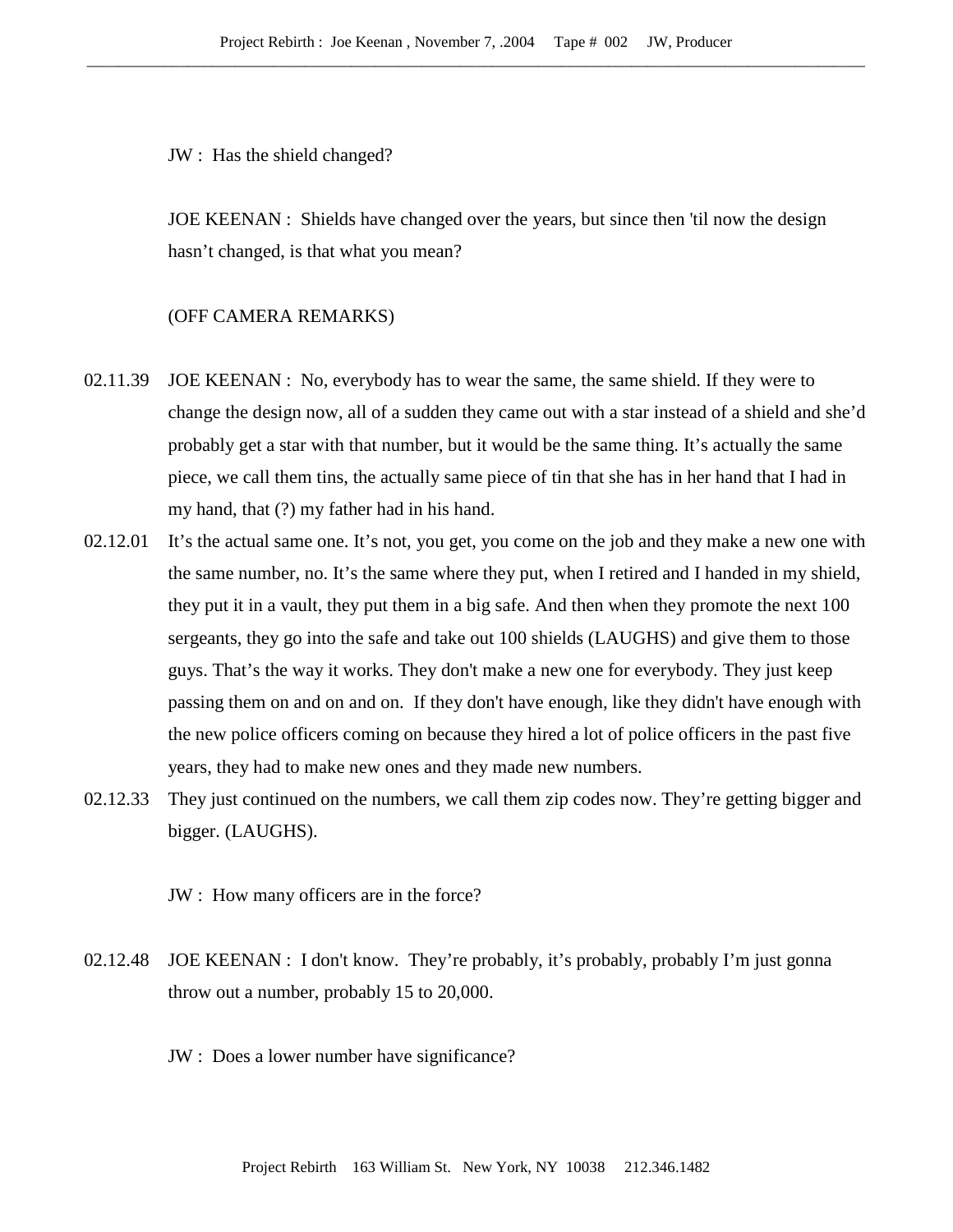JW : Has the shield changed?

JOE KEENAN : Shields have changed over the years, but since then 'til now the design hasn't changed, is that what you mean?

# (OFF CAMERA REMARKS)

- 02.11.39 JOE KEENAN : No, everybody has to wear the same, the same shield. If they were to change the design now, all of a sudden they came out with a star instead of a shield and she'd probably get a star with that number, but it would be the same thing. It's actually the same piece, we call them tins, the actually same piece of tin that she has in her hand that I had in my hand, that (?) my father had in his hand.
- 02.12.01 It's the actual same one. It's not, you get, you come on the job and they make a new one with the same number, no. It's the same where they put, when I retired and I handed in my shield, they put it in a vault, they put them in a big safe. And then when they promote the next 100 sergeants, they go into the safe and take out 100 shields (LAUGHS) and give them to those guys. That's the way it works. They don't make a new one for everybody. They just keep passing them on and on and on. If they don't have enough, like they didn't have enough with the new police officers coming on because they hired a lot of police officers in the past five years, they had to make new ones and they made new numbers.
- 02.12.33 They just continued on the numbers, we call them zip codes now. They're getting bigger and bigger. (LAUGHS).

JW : How many officers are in the force?

- 02.12.48 JOE KEENAN : I don't know. They're probably, it's probably, probably I'm just gonna throw out a number, probably 15 to 20,000.
	- JW : Does a lower number have significance?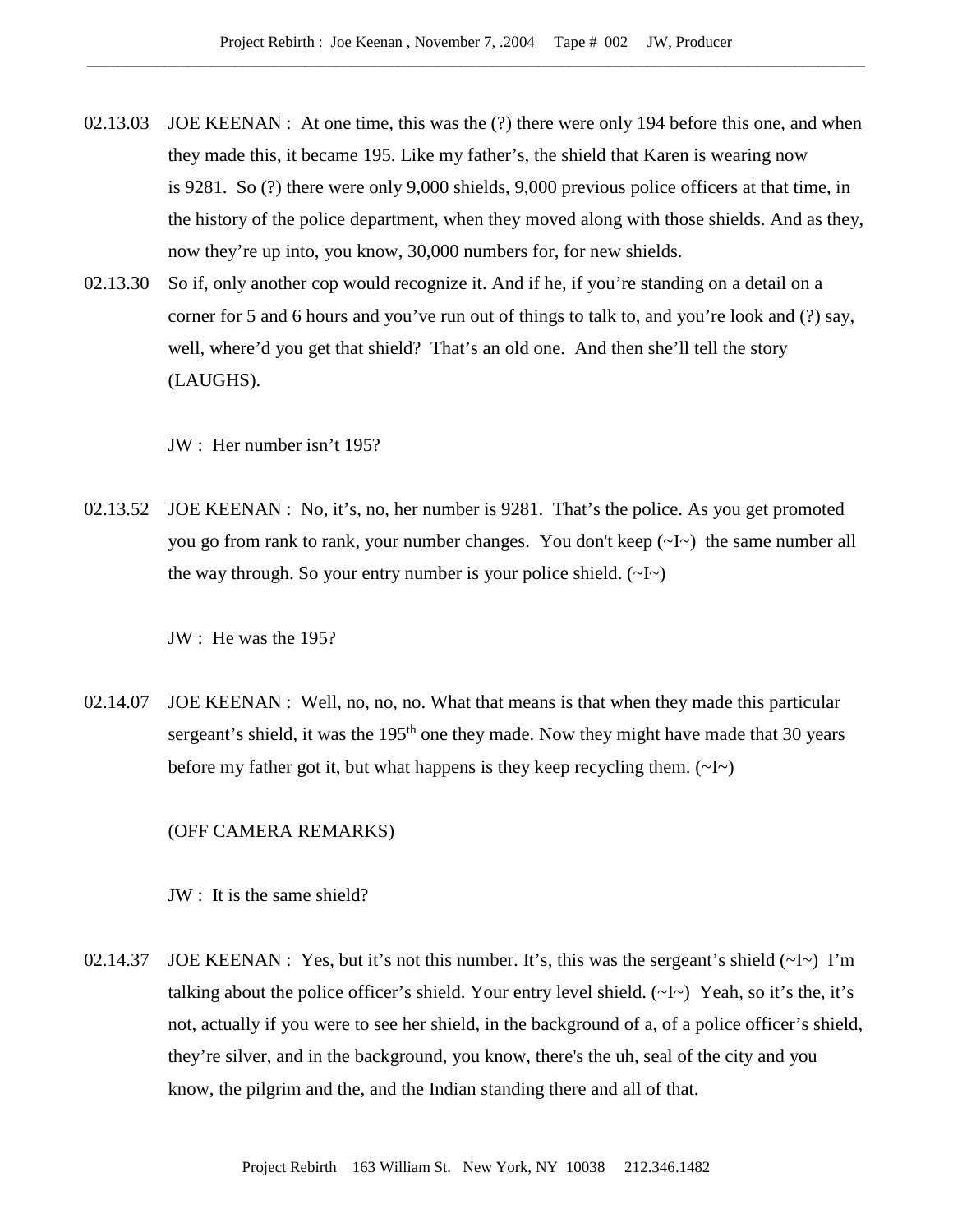- 02.13.03 JOE KEENAN : At one time, this was the (?) there were only 194 before this one, and when they made this, it became 195. Like my father's, the shield that Karen is wearing now is 9281. So (?) there were only 9,000 shields, 9,000 previous police officers at that time, in the history of the police department, when they moved along with those shields. And as they, now they're up into, you know, 30,000 numbers for, for new shields.
- 02.13.30 So if, only another cop would recognize it. And if he, if you're standing on a detail on a corner for 5 and 6 hours and you've run out of things to talk to, and you're look and (?) say, well, where'd you get that shield? That's an old one. And then she'll tell the story (LAUGHS).

JW : Her number isn't 195?

02.13.52 JOE KEENAN : No, it's, no, her number is 9281. That's the police. As you get promoted you go from rank to rank, your number changes. You don't keep (~I~) the same number all the way through. So your entry number is your police shield.  $(\sim I \sim)$ 

JW : He was the 195?

02.14.07 JOE KEENAN : Well, no, no, no. What that means is that when they made this particular sergeant's shield, it was the 195<sup>th</sup> one they made. Now they might have made that 30 years before my father got it, but what happens is they keep recycling them.  $(\sim I \sim)$ 

# (OFF CAMERA REMARKS)

JW : It is the same shield?

02.14.37 JOE KEENAN : Yes, but it's not this number. It's, this was the sergeant's shield  $(\sim l \sim)$  I'm talking about the police officer's shield. Your entry level shield. (~I~) Yeah, so it's the, it's not, actually if you were to see her shield, in the background of a, of a police officer's shield, they're silver, and in the background, you know, there's the uh, seal of the city and you know, the pilgrim and the, and the Indian standing there and all of that.